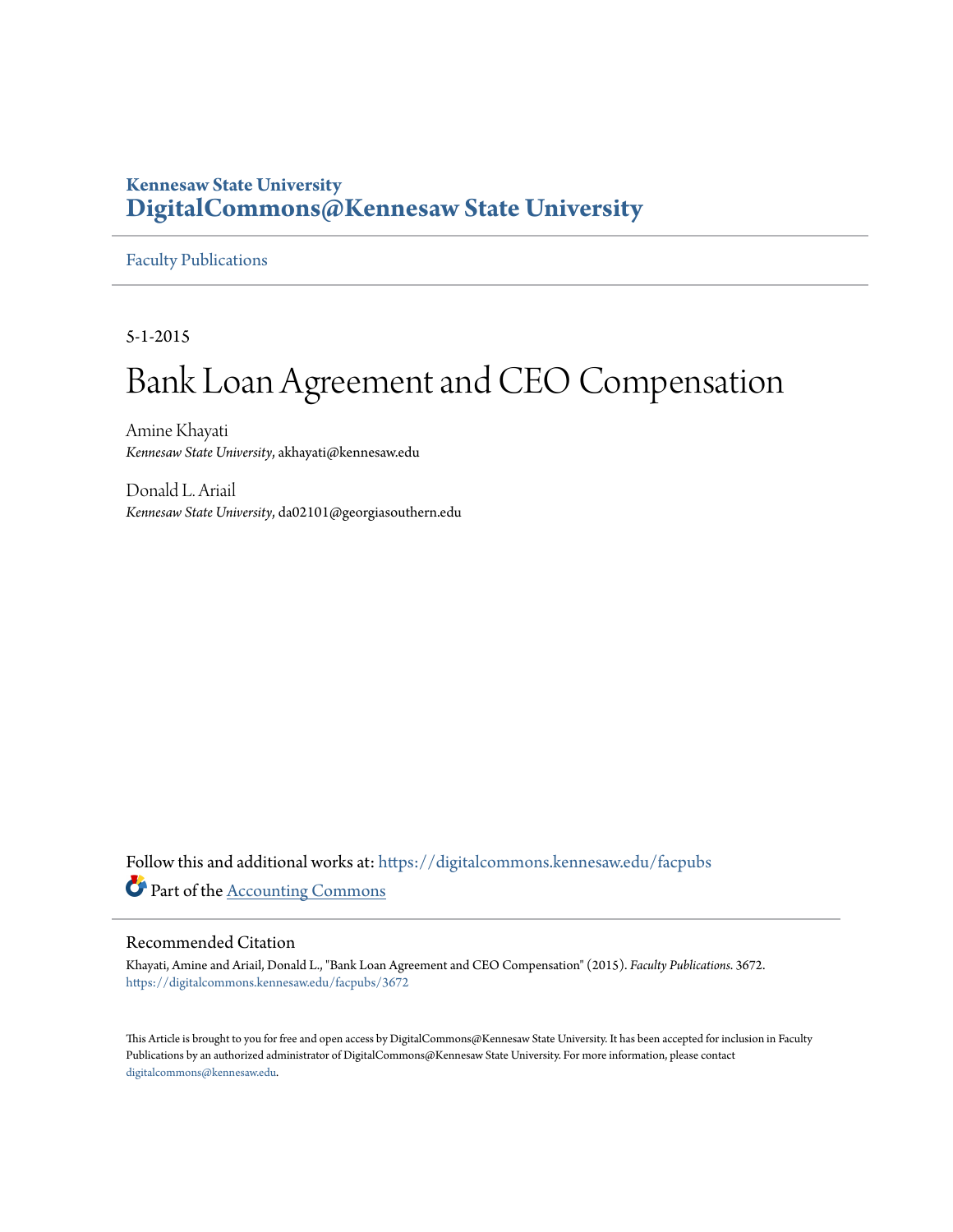## **Kennesaw State University [DigitalCommons@Kennesaw State University](https://digitalcommons.kennesaw.edu?utm_source=digitalcommons.kennesaw.edu%2Ffacpubs%2F3672&utm_medium=PDF&utm_campaign=PDFCoverPages)**

#### [Faculty Publications](https://digitalcommons.kennesaw.edu/facpubs?utm_source=digitalcommons.kennesaw.edu%2Ffacpubs%2F3672&utm_medium=PDF&utm_campaign=PDFCoverPages)

5-1-2015

# Bank Loan Agreement and CEO Compensation

Amine Khayati *Kennesaw State University*, akhayati@kennesaw.edu

Donald L. Ariail *Kennesaw State University*, da02101@georgiasouthern.edu

Follow this and additional works at: [https://digitalcommons.kennesaw.edu/facpubs](https://digitalcommons.kennesaw.edu/facpubs?utm_source=digitalcommons.kennesaw.edu%2Ffacpubs%2F3672&utm_medium=PDF&utm_campaign=PDFCoverPages) Part of the [Accounting Commons](http://network.bepress.com/hgg/discipline/625?utm_source=digitalcommons.kennesaw.edu%2Ffacpubs%2F3672&utm_medium=PDF&utm_campaign=PDFCoverPages)

#### Recommended Citation

Khayati, Amine and Ariail, Donald L., "Bank Loan Agreement and CEO Compensation" (2015). *Faculty Publications*. 3672. [https://digitalcommons.kennesaw.edu/facpubs/3672](https://digitalcommons.kennesaw.edu/facpubs/3672?utm_source=digitalcommons.kennesaw.edu%2Ffacpubs%2F3672&utm_medium=PDF&utm_campaign=PDFCoverPages)

This Article is brought to you for free and open access by DigitalCommons@Kennesaw State University. It has been accepted for inclusion in Faculty Publications by an authorized administrator of DigitalCommons@Kennesaw State University. For more information, please contact [digitalcommons@kennesaw.edu.](mailto:digitalcommons@kennesaw.edu)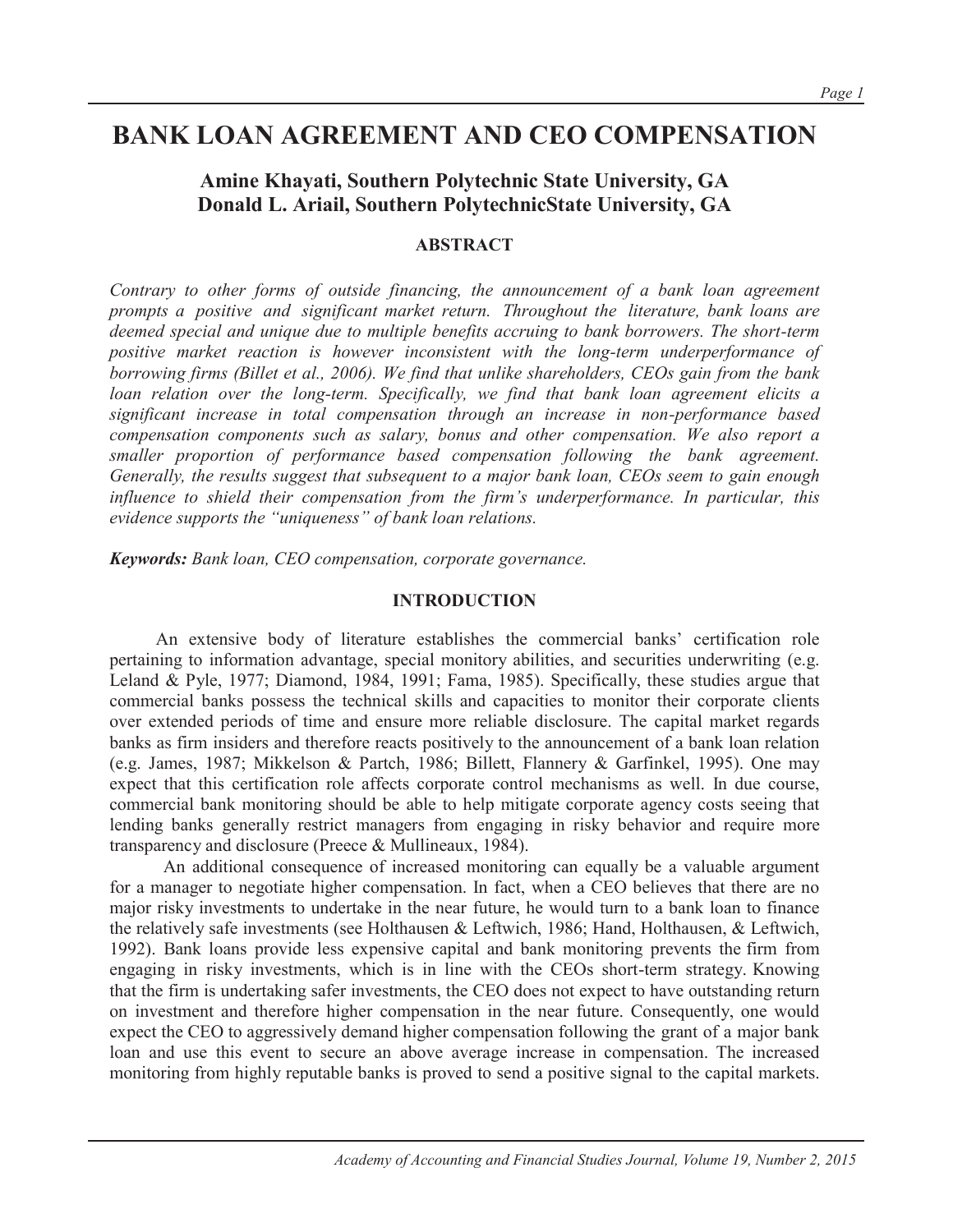# **BANK LOAN AGREEMENT AND CEO COMPENSATION**

### **Amine Khayati, Southern Polytechnic State University, GA Donald L. Ariail, Southern PolytechnicState University, GA**

#### **ABSTRACT**

*Contrary to other forms of outside financing, the announcement of a bank loan agreement prompts a positive and significant market return. Throughout the literature, bank loans are deemed special and unique due to multiple benefits accruing to bank borrowers. The short-term positive market reaction is however inconsistent with the long-term underperformance of borrowing firms (Billet et al., 2006). We find that unlike shareholders, CEOs gain from the bank loan relation over the long-term. Specifically, we find that bank loan agreement elicits a significant increase in total compensation through an increase in non-performance based compensation components such as salary, bonus and other compensation. We also report a smaller proportion of performance based compensation following the bank agreement. Generally, the results suggest that subsequent to a major bank loan, CEOs seem to gain enough influence to shield their compensation from the firm's underperformance. In particular, this evidence supports the "uniqueness" of bank loan relations.* 

*Keywords: Bank loan, CEO compensation, corporate governance.* 

#### **INTRODUCTION**

An extensive body of literature establishes the commercial banks' certification role pertaining to information advantage, special monitory abilities, and securities underwriting (e.g. Leland & Pyle, 1977; Diamond, 1984, 1991; Fama, 1985). Specifically, these studies argue that commercial banks possess the technical skills and capacities to monitor their corporate clients over extended periods of time and ensure more reliable disclosure. The capital market regards banks as firm insiders and therefore reacts positively to the announcement of a bank loan relation (e.g. James, 1987; Mikkelson & Partch, 1986; Billett, Flannery & Garfinkel, 1995). One may expect that this certification role affects corporate control mechanisms as well. In due course, commercial bank monitoring should be able to help mitigate corporate agency costs seeing that lending banks generally restrict managers from engaging in risky behavior and require more transparency and disclosure (Preece & Mullineaux, 1984).

 An additional consequence of increased monitoring can equally be a valuable argument for a manager to negotiate higher compensation. In fact, when a CEO believes that there are no major risky investments to undertake in the near future, he would turn to a bank loan to finance the relatively safe investments (see Holthausen & Leftwich, 1986; Hand, Holthausen, & Leftwich, 1992). Bank loans provide less expensive capital and bank monitoring prevents the firm from engaging in risky investments, which is in line with the CEOs short-term strategy. Knowing that the firm is undertaking safer investments, the CEO does not expect to have outstanding return on investment and therefore higher compensation in the near future. Consequently, one would expect the CEO to aggressively demand higher compensation following the grant of a major bank loan and use this event to secure an above average increase in compensation. The increased monitoring from highly reputable banks is proved to send a positive signal to the capital markets.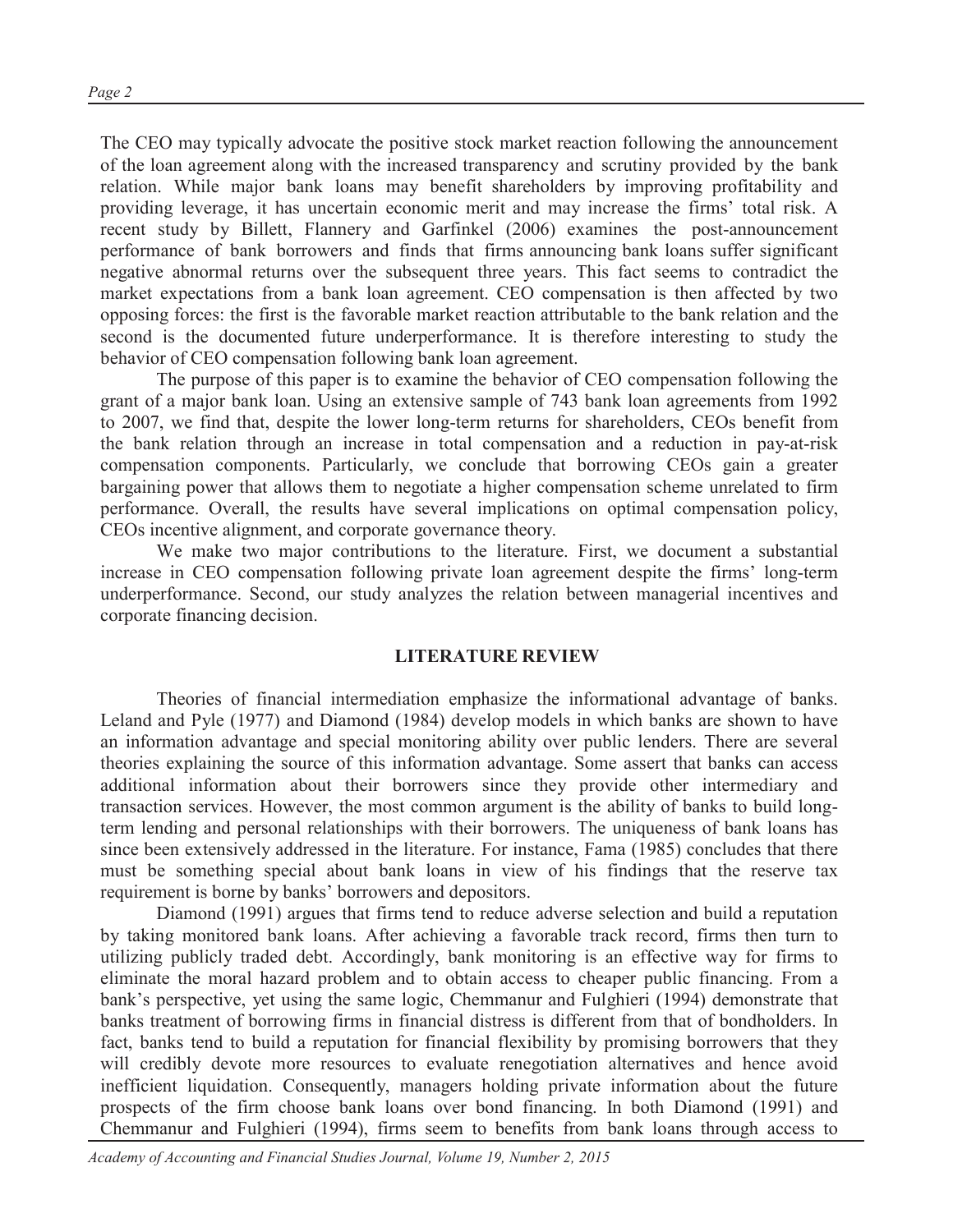The CEO may typically advocate the positive stock market reaction following the announcement of the loan agreement along with the increased transparency and scrutiny provided by the bank relation. While major bank loans may benefit shareholders by improving profitability and providing leverage, it has uncertain economic merit and may increase the firms' total risk. A recent study by Billett, Flannery and Garfinkel (2006) examines the post-announcement performance of bank borrowers and finds that firms announcing bank loans suffer significant negative abnormal returns over the subsequent three years. This fact seems to contradict the market expectations from a bank loan agreement. CEO compensation is then affected by two opposing forces: the first is the favorable market reaction attributable to the bank relation and the second is the documented future underperformance. It is therefore interesting to study the behavior of CEO compensation following bank loan agreement.

The purpose of this paper is to examine the behavior of CEO compensation following the grant of a major bank loan. Using an extensive sample of 743 bank loan agreements from 1992 to 2007, we find that, despite the lower long-term returns for shareholders, CEOs benefit from the bank relation through an increase in total compensation and a reduction in pay-at-risk compensation components. Particularly, we conclude that borrowing CEOs gain a greater bargaining power that allows them to negotiate a higher compensation scheme unrelated to firm performance. Overall, the results have several implications on optimal compensation policy, CEOs incentive alignment, and corporate governance theory.

We make two major contributions to the literature. First, we document a substantial increase in CEO compensation following private loan agreement despite the firms' long-term underperformance. Second, our study analyzes the relation between managerial incentives and corporate financing decision.

#### **LITERATURE REVIEW**

Theories of financial intermediation emphasize the informational advantage of banks. Leland and Pyle (1977) and Diamond (1984) develop models in which banks are shown to have an information advantage and special monitoring ability over public lenders. There are several theories explaining the source of this information advantage. Some assert that banks can access additional information about their borrowers since they provide other intermediary and transaction services. However, the most common argument is the ability of banks to build longterm lending and personal relationships with their borrowers. The uniqueness of bank loans has since been extensively addressed in the literature. For instance, Fama (1985) concludes that there must be something special about bank loans in view of his findings that the reserve tax requirement is borne by banks' borrowers and depositors.

Diamond (1991) argues that firms tend to reduce adverse selection and build a reputation by taking monitored bank loans. After achieving a favorable track record, firms then turn to utilizing publicly traded debt. Accordingly, bank monitoring is an effective way for firms to eliminate the moral hazard problem and to obtain access to cheaper public financing. From a bank's perspective, yet using the same logic, Chemmanur and Fulghieri (1994) demonstrate that banks treatment of borrowing firms in financial distress is different from that of bondholders. In fact, banks tend to build a reputation for financial flexibility by promising borrowers that they will credibly devote more resources to evaluate renegotiation alternatives and hence avoid inefficient liquidation. Consequently, managers holding private information about the future prospects of the firm choose bank loans over bond financing. In both Diamond (1991) and Chemmanur and Fulghieri (1994), firms seem to benefits from bank loans through access to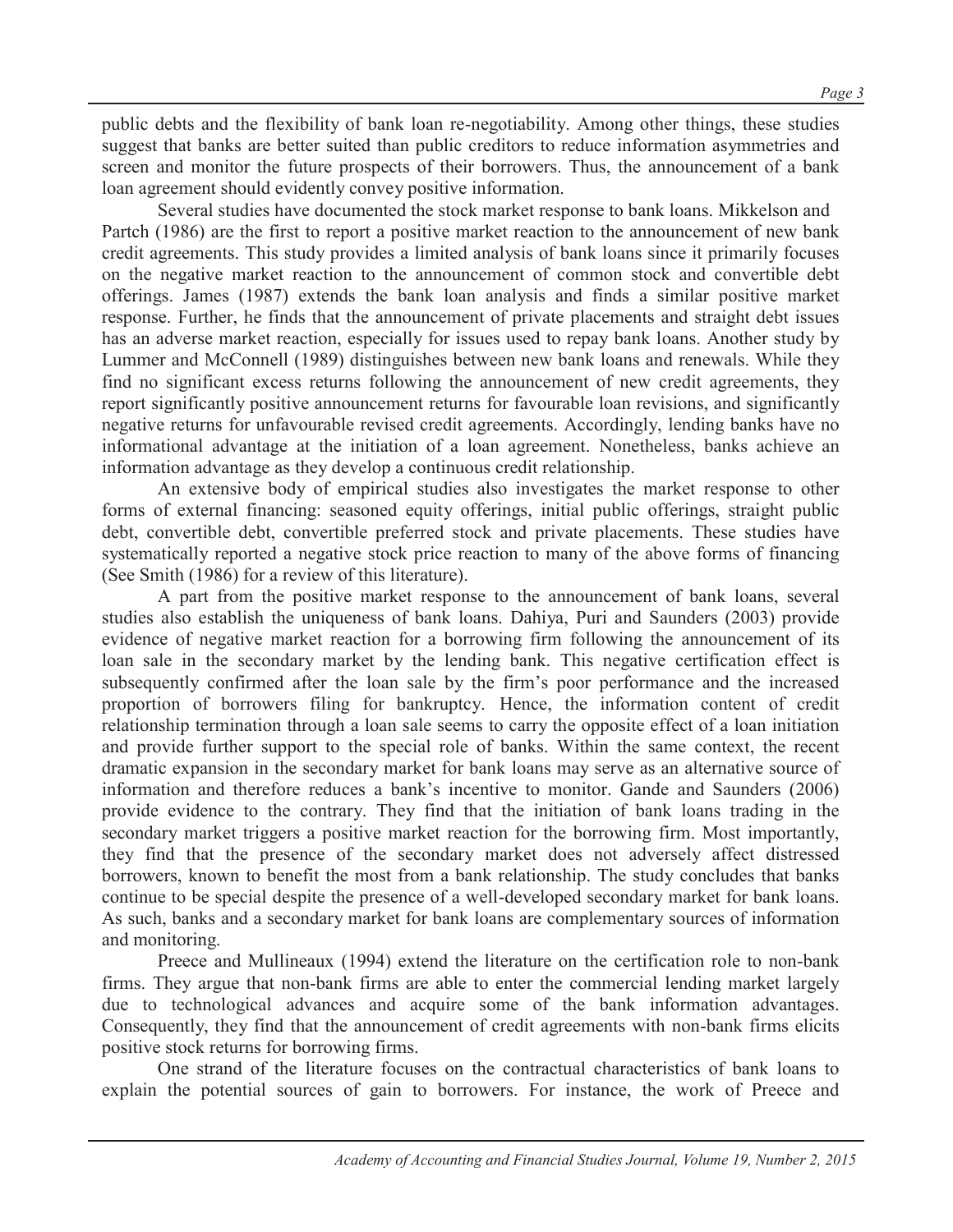public debts and the flexibility of bank loan re-negotiability. Among other things, these studies suggest that banks are better suited than public creditors to reduce information asymmetries and screen and monitor the future prospects of their borrowers. Thus, the announcement of a bank loan agreement should evidently convey positive information.

Several studies have documented the stock market response to bank loans. Mikkelson and Partch (1986) are the first to report a positive market reaction to the announcement of new bank credit agreements. This study provides a limited analysis of bank loans since it primarily focuses on the negative market reaction to the announcement of common stock and convertible debt offerings. James (1987) extends the bank loan analysis and finds a similar positive market response. Further, he finds that the announcement of private placements and straight debt issues has an adverse market reaction, especially for issues used to repay bank loans. Another study by Lummer and McConnell (1989) distinguishes between new bank loans and renewals. While they find no significant excess returns following the announcement of new credit agreements, they report significantly positive announcement returns for favourable loan revisions, and significantly negative returns for unfavourable revised credit agreements. Accordingly, lending banks have no informational advantage at the initiation of a loan agreement. Nonetheless, banks achieve an information advantage as they develop a continuous credit relationship.

An extensive body of empirical studies also investigates the market response to other forms of external financing: seasoned equity offerings, initial public offerings, straight public debt, convertible debt, convertible preferred stock and private placements. These studies have systematically reported a negative stock price reaction to many of the above forms of financing (See Smith (1986) for a review of this literature).

A part from the positive market response to the announcement of bank loans, several studies also establish the uniqueness of bank loans. Dahiya, Puri and Saunders (2003) provide evidence of negative market reaction for a borrowing firm following the announcement of its loan sale in the secondary market by the lending bank. This negative certification effect is subsequently confirmed after the loan sale by the firm's poor performance and the increased proportion of borrowers filing for bankruptcy. Hence, the information content of credit relationship termination through a loan sale seems to carry the opposite effect of a loan initiation and provide further support to the special role of banks. Within the same context, the recent dramatic expansion in the secondary market for bank loans may serve as an alternative source of information and therefore reduces a bank's incentive to monitor. Gande and Saunders (2006) provide evidence to the contrary. They find that the initiation of bank loans trading in the secondary market triggers a positive market reaction for the borrowing firm. Most importantly, they find that the presence of the secondary market does not adversely affect distressed borrowers, known to benefit the most from a bank relationship. The study concludes that banks continue to be special despite the presence of a well-developed secondary market for bank loans. As such, banks and a secondary market for bank loans are complementary sources of information and monitoring.

Preece and Mullineaux (1994) extend the literature on the certification role to non-bank firms. They argue that non-bank firms are able to enter the commercial lending market largely due to technological advances and acquire some of the bank information advantages. Consequently, they find that the announcement of credit agreements with non-bank firms elicits positive stock returns for borrowing firms.

One strand of the literature focuses on the contractual characteristics of bank loans to explain the potential sources of gain to borrowers. For instance, the work of Preece and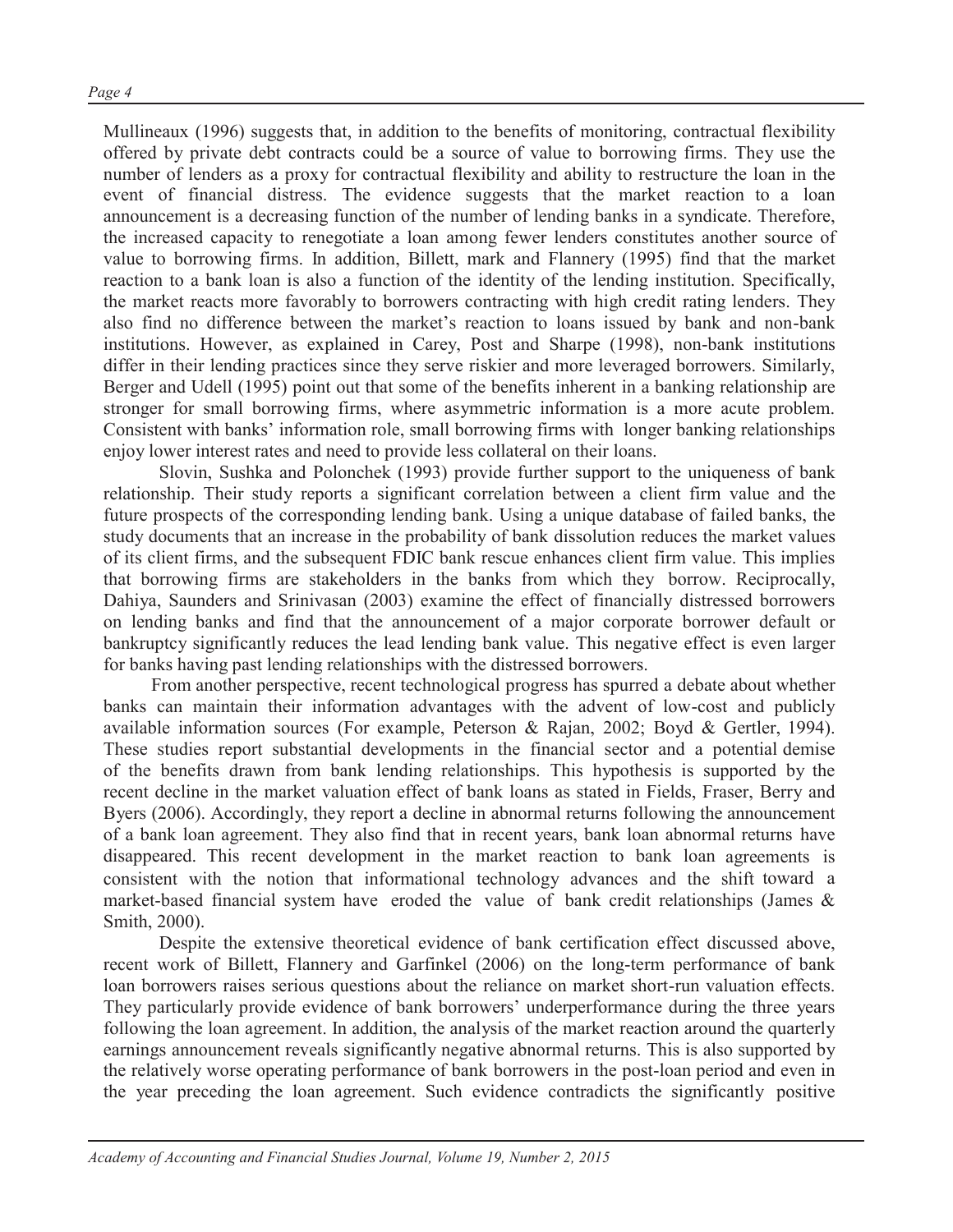Mullineaux (1996) suggests that, in addition to the benefits of monitoring, contractual flexibility offered by private debt contracts could be a source of value to borrowing firms. They use the number of lenders as a proxy for contractual flexibility and ability to restructure the loan in the event of financial distress. The evidence suggests that the market reaction to a loan announcement is a decreasing function of the number of lending banks in a syndicate. Therefore, the increased capacity to renegotiate a loan among fewer lenders constitutes another source of value to borrowing firms. In addition, Billett, mark and Flannery (1995) find that the market reaction to a bank loan is also a function of the identity of the lending institution. Specifically, the market reacts more favorably to borrowers contracting with high credit rating lenders. They also find no difference between the market's reaction to loans issued by bank and non-bank institutions. However, as explained in Carey, Post and Sharpe (1998), non-bank institutions differ in their lending practices since they serve riskier and more leveraged borrowers. Similarly, Berger and Udell (1995) point out that some of the benefits inherent in a banking relationship are stronger for small borrowing firms, where asymmetric information is a more acute problem. Consistent with banks' information role, small borrowing firms with longer banking relationships enjoy lower interest rates and need to provide less collateral on their loans.

Slovin, Sushka and Polonchek (1993) provide further support to the uniqueness of bank relationship. Their study reports a significant correlation between a client firm value and the future prospects of the corresponding lending bank. Using a unique database of failed banks, the study documents that an increase in the probability of bank dissolution reduces the market values of its client firms, and the subsequent FDIC bank rescue enhances client firm value. This implies that borrowing firms are stakeholders in the banks from which they borrow. Reciprocally, Dahiya, Saunders and Srinivasan (2003) examine the effect of financially distressed borrowers on lending banks and find that the announcement of a major corporate borrower default or bankruptcy significantly reduces the lead lending bank value. This negative effect is even larger for banks having past lending relationships with the distressed borrowers.

From another perspective, recent technological progress has spurred a debate about whether banks can maintain their information advantages with the advent of low-cost and publicly available information sources (For example, Peterson & Rajan, 2002; Boyd & Gertler, 1994). These studies report substantial developments in the financial sector and a potential demise of the benefits drawn from bank lending relationships. This hypothesis is supported by the recent decline in the market valuation effect of bank loans as stated in Fields, Fraser, Berry and Byers (2006). Accordingly, they report a decline in abnormal returns following the announcement of a bank loan agreement. They also find that in recent years, bank loan abnormal returns have disappeared. This recent development in the market reaction to bank loan agreements is consistent with the notion that informational technology advances and the shift toward a market-based financial system have eroded the value of bank credit relationships (James & Smith, 2000).

Despite the extensive theoretical evidence of bank certification effect discussed above, recent work of Billett, Flannery and Garfinkel (2006) on the long-term performance of bank loan borrowers raises serious questions about the reliance on market short-run valuation effects. They particularly provide evidence of bank borrowers' underperformance during the three years following the loan agreement. In addition, the analysis of the market reaction around the quarterly earnings announcement reveals significantly negative abnormal returns. This is also supported by the relatively worse operating performance of bank borrowers in the post-loan period and even in the year preceding the loan agreement. Such evidence contradicts the significantly positive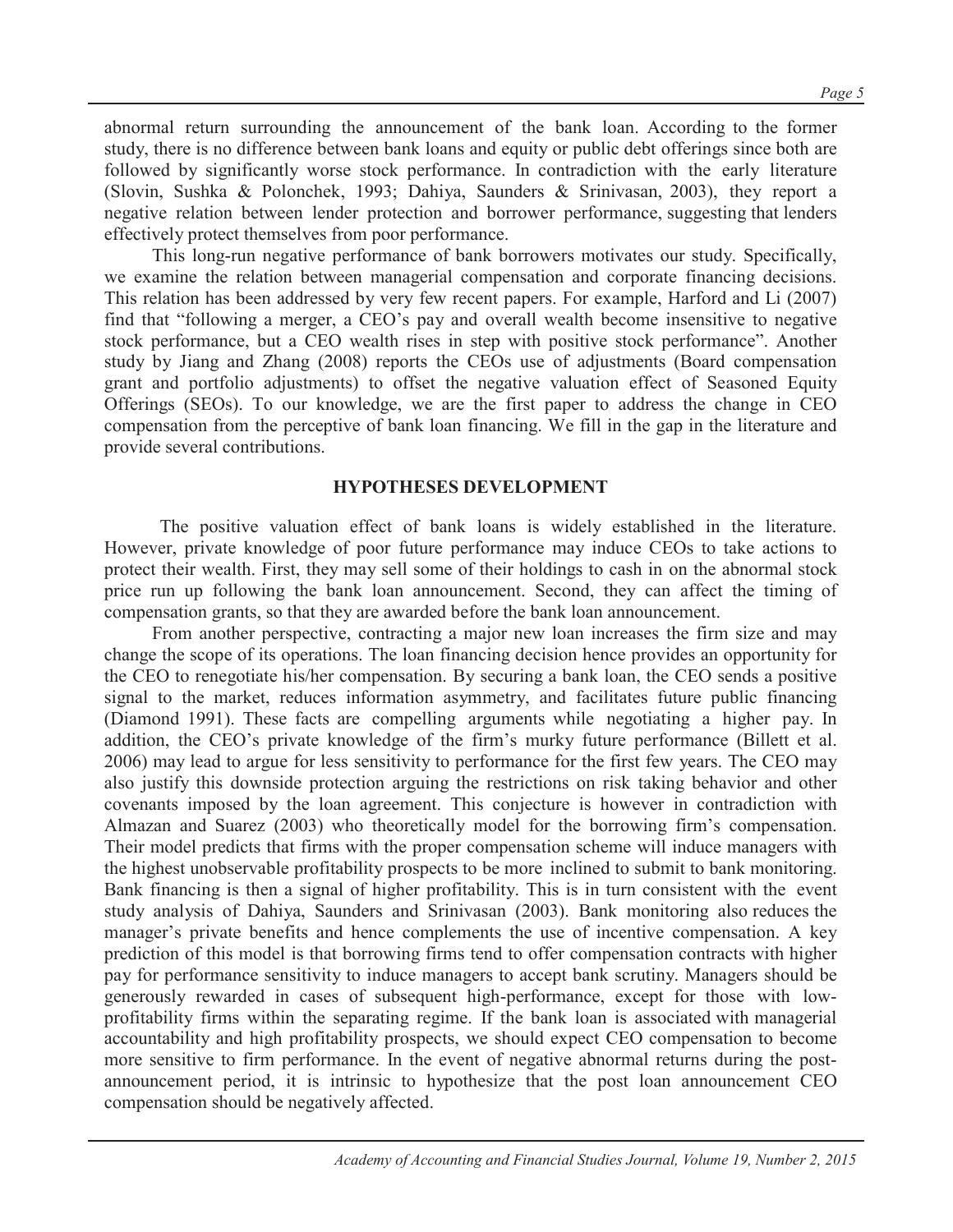abnormal return surrounding the announcement of the bank loan. According to the former study, there is no difference between bank loans and equity or public debt offerings since both are followed by significantly worse stock performance. In contradiction with the early literature (Slovin, Sushka & Polonchek, 1993; Dahiya, Saunders & Srinivasan, 2003), they report a negative relation between lender protection and borrower performance, suggesting that lenders effectively protect themselves from poor performance.

This long-run negative performance of bank borrowers motivates our study. Specifically, we examine the relation between managerial compensation and corporate financing decisions. This relation has been addressed by very few recent papers. For example, Harford and Li (2007) find that "following a merger, a CEO's pay and overall wealth become insensitive to negative stock performance, but a CEO wealth rises in step with positive stock performance". Another study by Jiang and Zhang (2008) reports the CEOs use of adjustments (Board compensation grant and portfolio adjustments) to offset the negative valuation effect of Seasoned Equity Offerings (SEOs). To our knowledge, we are the first paper to address the change in CEO compensation from the perceptive of bank loan financing. We fill in the gap in the literature and provide several contributions.

#### **HYPOTHESES DEVELOPMENT**

The positive valuation effect of bank loans is widely established in the literature. However, private knowledge of poor future performance may induce CEOs to take actions to protect their wealth. First, they may sell some of their holdings to cash in on the abnormal stock price run up following the bank loan announcement. Second, they can affect the timing of compensation grants, so that they are awarded before the bank loan announcement.

From another perspective, contracting a major new loan increases the firm size and may change the scope of its operations. The loan financing decision hence provides an opportunity for the CEO to renegotiate his/her compensation. By securing a bank loan, the CEO sends a positive signal to the market, reduces information asymmetry, and facilitates future public financing (Diamond 1991). These facts are compelling arguments while negotiating a higher pay. In addition, the CEO's private knowledge of the firm's murky future performance (Billett et al. 2006) may lead to argue for less sensitivity to performance for the first few years. The CEO may also justify this downside protection arguing the restrictions on risk taking behavior and other covenants imposed by the loan agreement. This conjecture is however in contradiction with Almazan and Suarez (2003) who theoretically model for the borrowing firm's compensation. Their model predicts that firms with the proper compensation scheme will induce managers with the highest unobservable profitability prospects to be more inclined to submit to bank monitoring. Bank financing is then a signal of higher profitability. This is in turn consistent with the event study analysis of Dahiya, Saunders and Srinivasan (2003). Bank monitoring also reduces the manager's private benefits and hence complements the use of incentive compensation. A key prediction of this model is that borrowing firms tend to offer compensation contracts with higher pay for performance sensitivity to induce managers to accept bank scrutiny. Managers should be generously rewarded in cases of subsequent high-performance, except for those with lowprofitability firms within the separating regime. If the bank loan is associated with managerial accountability and high profitability prospects, we should expect CEO compensation to become more sensitive to firm performance. In the event of negative abnormal returns during the postannouncement period, it is intrinsic to hypothesize that the post loan announcement CEO compensation should be negatively affected.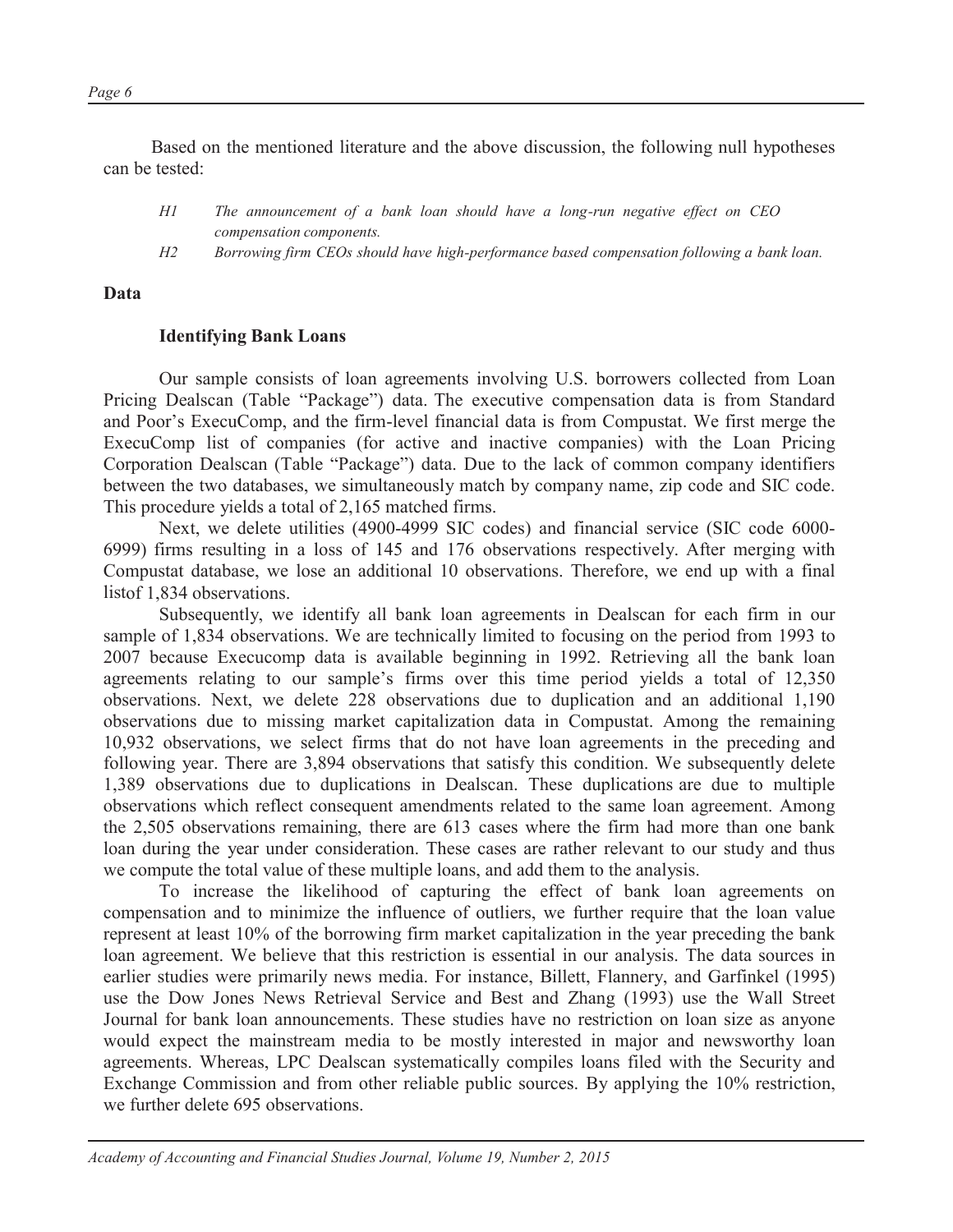*Page 6*

Based on the mentioned literature and the above discussion, the following null hypotheses can be tested:

- *H1 The announcement of a bank loan should have a long-run negative effect on CEO compensation components.*
- *H2 Borrowing firm CEOs should have high-performance based compensation following a bank loan.*

#### **Data**

#### **Identifying Bank Loans**

Our sample consists of loan agreements involving U.S. borrowers collected from Loan Pricing Dealscan (Table "Package") data. The executive compensation data is from Standard and Poor's ExecuComp, and the firm-level financial data is from Compustat. We first merge the ExecuComp list of companies (for active and inactive companies) with the Loan Pricing Corporation Dealscan (Table "Package") data. Due to the lack of common company identifiers between the two databases, we simultaneously match by company name, zip code and SIC code. This procedure yields a total of 2,165 matched firms.

Next, we delete utilities (4900-4999 SIC codes) and financial service (SIC code 6000- 6999) firms resulting in a loss of 145 and 176 observations respectively. After merging with Compustat database, we lose an additional 10 observations. Therefore, we end up with a final listof 1,834 observations.

Subsequently, we identify all bank loan agreements in Dealscan for each firm in our sample of 1,834 observations. We are technically limited to focusing on the period from 1993 to 2007 because Execucomp data is available beginning in 1992. Retrieving all the bank loan agreements relating to our sample's firms over this time period yields a total of 12,350 observations. Next, we delete 228 observations due to duplication and an additional 1,190 observations due to missing market capitalization data in Compustat. Among the remaining 10,932 observations, we select firms that do not have loan agreements in the preceding and following year. There are 3,894 observations that satisfy this condition. We subsequently delete 1,389 observations due to duplications in Dealscan. These duplications are due to multiple observations which reflect consequent amendments related to the same loan agreement. Among the 2,505 observations remaining, there are 613 cases where the firm had more than one bank loan during the year under consideration. These cases are rather relevant to our study and thus we compute the total value of these multiple loans, and add them to the analysis.

To increase the likelihood of capturing the effect of bank loan agreements on compensation and to minimize the influence of outliers, we further require that the loan value represent at least 10% of the borrowing firm market capitalization in the year preceding the bank loan agreement. We believe that this restriction is essential in our analysis. The data sources in earlier studies were primarily news media. For instance, Billett, Flannery, and Garfinkel (1995) use the Dow Jones News Retrieval Service and Best and Zhang (1993) use the Wall Street Journal for bank loan announcements. These studies have no restriction on loan size as anyone would expect the mainstream media to be mostly interested in major and newsworthy loan agreements. Whereas, LPC Dealscan systematically compiles loans filed with the Security and Exchange Commission and from other reliable public sources. By applying the 10% restriction, we further delete 695 observations.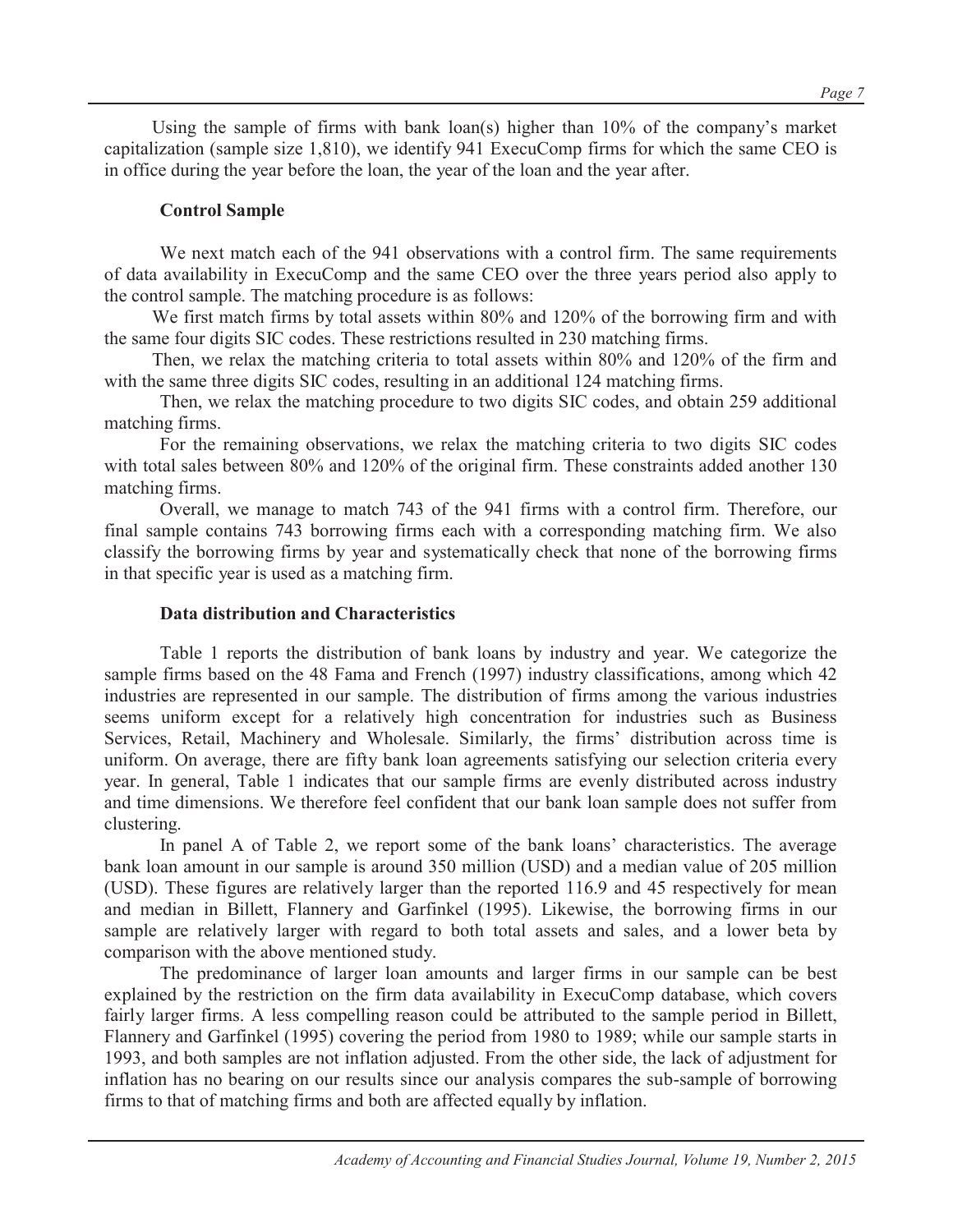#### **Control Sample**

We next match each of the 941 observations with a control firm. The same requirements of data availability in ExecuComp and the same CEO over the three years period also apply to the control sample. The matching procedure is as follows:

We first match firms by total assets within 80% and 120% of the borrowing firm and with the same four digits SIC codes. These restrictions resulted in 230 matching firms.

Then, we relax the matching criteria to total assets within 80% and 120% of the firm and with the same three digits SIC codes, resulting in an additional 124 matching firms.

Then, we relax the matching procedure to two digits SIC codes, and obtain 259 additional matching firms.

For the remaining observations, we relax the matching criteria to two digits SIC codes with total sales between 80% and 120% of the original firm. These constraints added another 130 matching firms.

Overall, we manage to match 743 of the 941 firms with a control firm. Therefore, our final sample contains 743 borrowing firms each with a corresponding matching firm. We also classify the borrowing firms by year and systematically check that none of the borrowing firms in that specific year is used as a matching firm.

#### **Data distribution and Characteristics**

Table 1 reports the distribution of bank loans by industry and year. We categorize the sample firms based on the 48 Fama and French (1997) industry classifications, among which 42 industries are represented in our sample. The distribution of firms among the various industries seems uniform except for a relatively high concentration for industries such as Business Services, Retail, Machinery and Wholesale. Similarly, the firms' distribution across time is uniform. On average, there are fifty bank loan agreements satisfying our selection criteria every year. In general, Table 1 indicates that our sample firms are evenly distributed across industry and time dimensions. We therefore feel confident that our bank loan sample does not suffer from clustering.

In panel A of Table 2, we report some of the bank loans' characteristics. The average bank loan amount in our sample is around 350 million (USD) and a median value of 205 million (USD). These figures are relatively larger than the reported 116.9 and 45 respectively for mean and median in Billett, Flannery and Garfinkel (1995). Likewise, the borrowing firms in our sample are relatively larger with regard to both total assets and sales, and a lower beta by comparison with the above mentioned study.

The predominance of larger loan amounts and larger firms in our sample can be best explained by the restriction on the firm data availability in ExecuComp database, which covers fairly larger firms. A less compelling reason could be attributed to the sample period in Billett, Flannery and Garfinkel (1995) covering the period from 1980 to 1989; while our sample starts in 1993, and both samples are not inflation adjusted. From the other side, the lack of adjustment for inflation has no bearing on our results since our analysis compares the sub-sample of borrowing firms to that of matching firms and both are affected equally by inflation.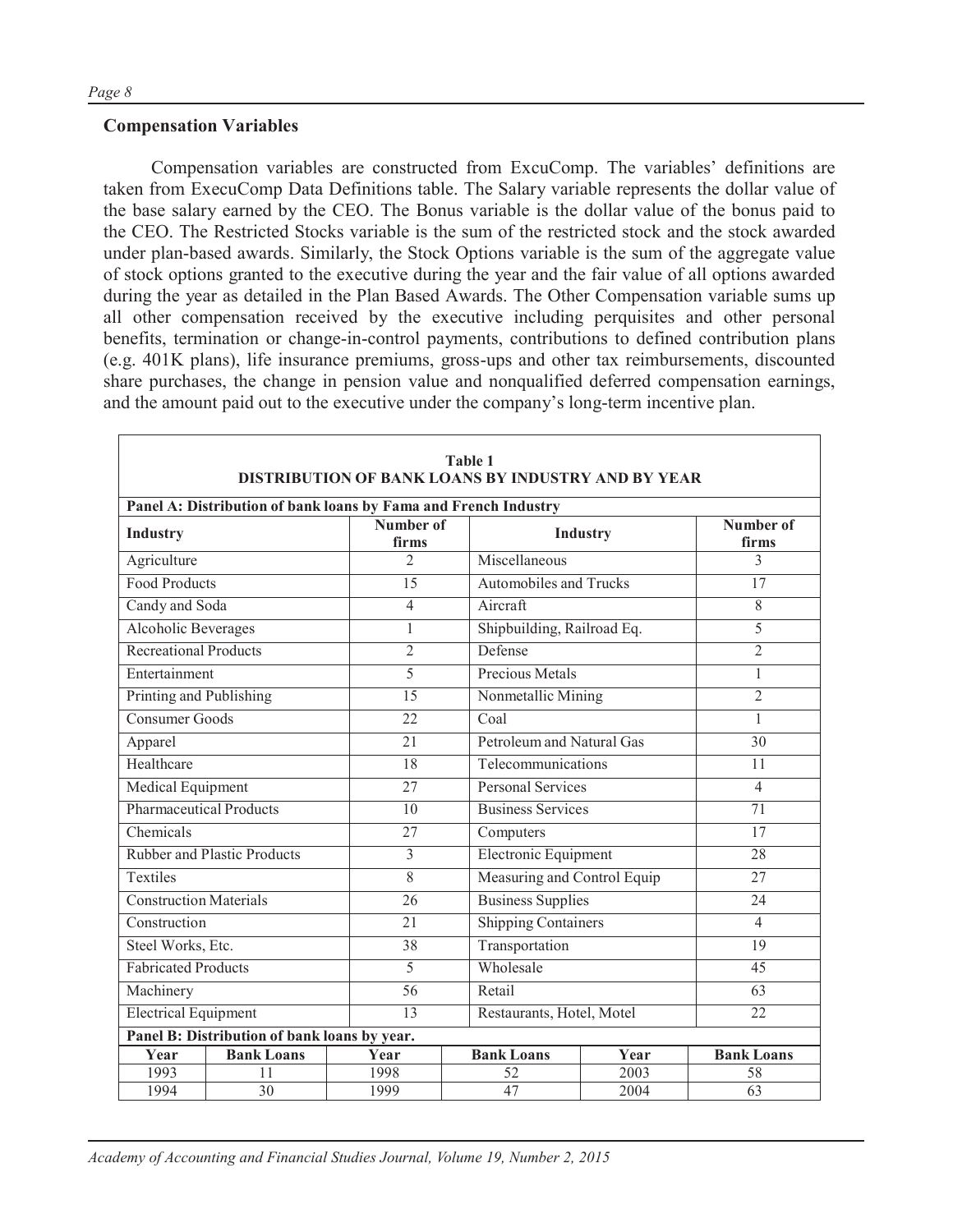#### **Compensation Variables**

Compensation variables are constructed from ExcuComp. The variables' definitions are taken from ExecuComp Data Definitions table. The Salary variable represents the dollar value of the base salary earned by the CEO. The Bonus variable is the dollar value of the bonus paid to the CEO. The Restricted Stocks variable is the sum of the restricted stock and the stock awarded under plan-based awards. Similarly, the Stock Options variable is the sum of the aggregate value of stock options granted to the executive during the year and the fair value of all options awarded during the year as detailed in the Plan Based Awards. The Other Compensation variable sums up all other compensation received by the executive including perquisites and other personal benefits, termination or change-in-control payments, contributions to defined contribution plans (e.g. 401K plans), life insurance premiums, gross-ups and other tax reimbursements, discounted share purchases, the change in pension value and nonqualified deferred compensation earnings, and the amount paid out to the executive under the company's long-term incentive plan.

| Table 1<br><b>DISTRIBUTION OF BANK LOANS BY INDUSTRY AND BY YEAR</b> |                                              |                    |                               |                           |                    |  |  |  |  |  |  |
|----------------------------------------------------------------------|----------------------------------------------|--------------------|-------------------------------|---------------------------|--------------------|--|--|--|--|--|--|
| Panel A: Distribution of bank loans by Fama and French Industry      |                                              |                    |                               |                           |                    |  |  |  |  |  |  |
| <b>Industry</b>                                                      |                                              | Number of<br>firms |                               | Industry                  | Number of<br>firms |  |  |  |  |  |  |
| Agriculture                                                          |                                              | $\overline{2}$     | Miscellaneous                 |                           | 3                  |  |  |  |  |  |  |
| <b>Food Products</b>                                                 |                                              | 15                 | <b>Automobiles and Trucks</b> |                           | 17                 |  |  |  |  |  |  |
| Candy and Soda                                                       |                                              | 4                  | Aircraft                      |                           | $\overline{8}$     |  |  |  |  |  |  |
| Alcoholic Beverages                                                  |                                              | $\mathbf{1}$       | Shipbuilding, Railroad Eq.    |                           | 5                  |  |  |  |  |  |  |
| <b>Recreational Products</b>                                         |                                              | $\overline{2}$     | Defense                       |                           | $\overline{2}$     |  |  |  |  |  |  |
| Entertainment                                                        |                                              | 5                  | <b>Precious Metals</b>        |                           | $\mathbf{1}$       |  |  |  |  |  |  |
| Printing and Publishing                                              |                                              | $\overline{15}$    | Nonmetallic Mining            |                           | $\overline{2}$     |  |  |  |  |  |  |
| <b>Consumer Goods</b>                                                |                                              | 22                 | Coal                          |                           | 1                  |  |  |  |  |  |  |
| Apparel                                                              |                                              | 21                 |                               | Petroleum and Natural Gas |                    |  |  |  |  |  |  |
| Healthcare                                                           |                                              | 18                 |                               | Telecommunications        |                    |  |  |  |  |  |  |
| Medical Equipment                                                    |                                              | 27                 |                               | <b>Personal Services</b>  |                    |  |  |  |  |  |  |
| <b>Pharmaceutical Products</b>                                       |                                              | 10                 | <b>Business Services</b>      |                           | 71                 |  |  |  |  |  |  |
| Chemicals                                                            |                                              | 27                 | Computers                     |                           | 17                 |  |  |  |  |  |  |
|                                                                      | <b>Rubber and Plastic Products</b>           | 3                  | <b>Electronic Equipment</b>   |                           | 28                 |  |  |  |  |  |  |
| Textiles                                                             |                                              | 8                  | Measuring and Control Equip   |                           | 27                 |  |  |  |  |  |  |
| <b>Construction Materials</b>                                        |                                              | 26                 | <b>Business Supplies</b>      |                           | 24                 |  |  |  |  |  |  |
| Construction                                                         |                                              | 21                 | <b>Shipping Containers</b>    |                           | $\overline{4}$     |  |  |  |  |  |  |
| Steel Works, Etc.                                                    |                                              | 38                 | Transportation                |                           | 19                 |  |  |  |  |  |  |
| <b>Fabricated Products</b>                                           |                                              | 5                  | Wholesale                     |                           | 45                 |  |  |  |  |  |  |
| Machinery                                                            |                                              | $\overline{56}$    | Retail                        |                           | 63                 |  |  |  |  |  |  |
|                                                                      | <b>Electrical Equipment</b><br>13            |                    | Restaurants, Hotel, Motel     |                           | 22                 |  |  |  |  |  |  |
|                                                                      | Panel B: Distribution of bank loans by year. |                    |                               |                           |                    |  |  |  |  |  |  |
| Year                                                                 | <b>Bank Loans</b>                            | Year               | <b>Bank Loans</b>             | Year                      | <b>Bank Loans</b>  |  |  |  |  |  |  |
| 1993                                                                 | 11                                           | 1998               | 52                            | 2003                      | 58                 |  |  |  |  |  |  |
| 1994                                                                 | $\overline{30}$                              | 1999               | 47                            | 2004                      | 63                 |  |  |  |  |  |  |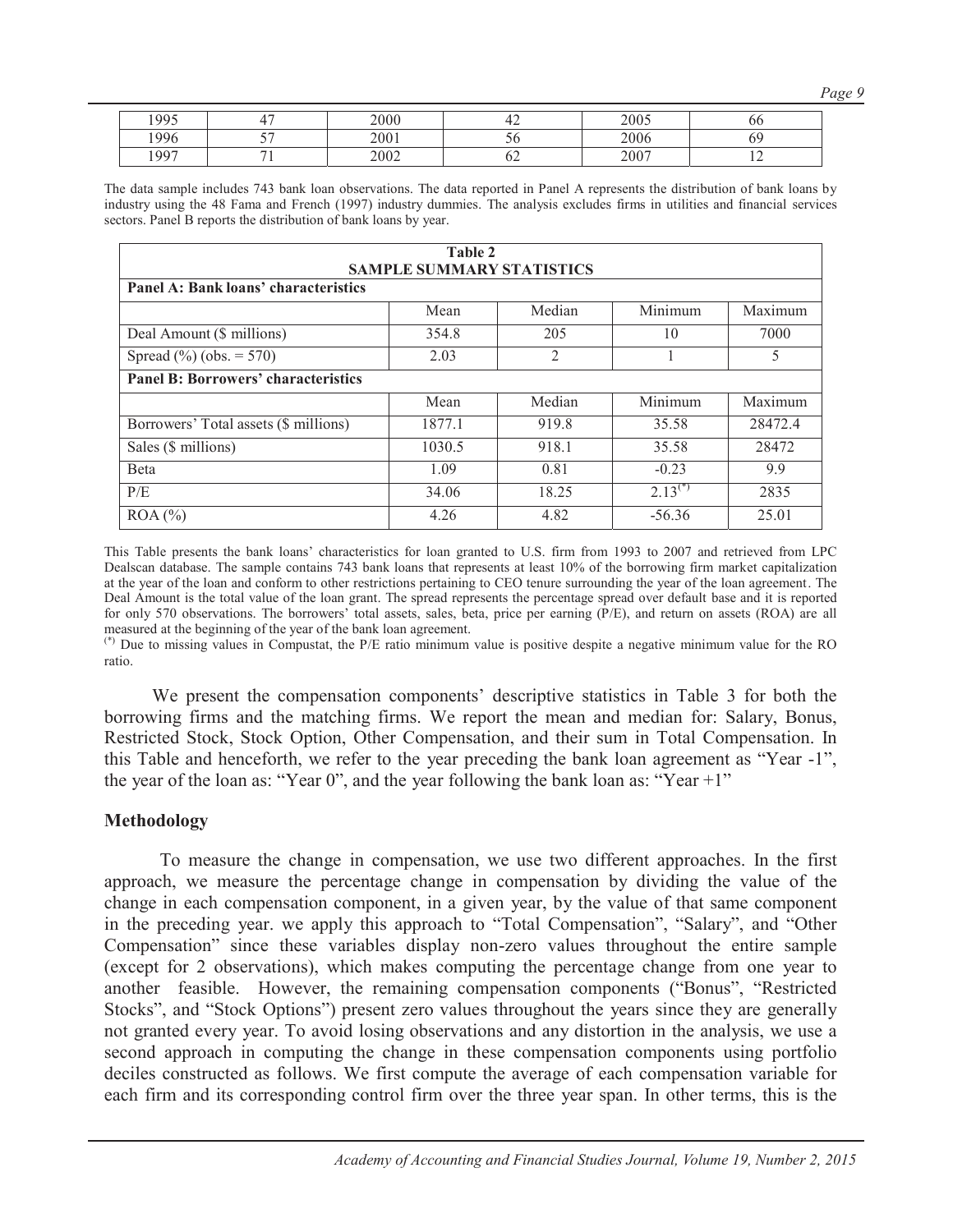*Page 9*

| 1005 | œ  | 2000 | т∠ | 2005 | oc |
|------|----|------|----|------|----|
| 1996 | -- | 2001 | ັບ | 2006 |    |
| 1997 |    | 2002 | ∪∠ | 2007 |    |

The data sample includes 743 bank loan observations. The data reported in Panel A represents the distribution of bank loans by industry using the 48 Fama and French (1997) industry dummies. The analysis excludes firms in utilities and financial services sectors. Panel B reports the distribution of bank loans by year.

| Table 2<br><b>SAMPLE SUMMARY STATISTICS</b> |        |                |              |         |  |  |  |  |  |  |  |
|---------------------------------------------|--------|----------------|--------------|---------|--|--|--|--|--|--|--|
| Panel A: Bank loans' characteristics        |        |                |              |         |  |  |  |  |  |  |  |
|                                             | Mean   | Median         | Minimum      | Maximum |  |  |  |  |  |  |  |
| Deal Amount (\$ millions)                   | 354.8  | 205            | 10           | 7000    |  |  |  |  |  |  |  |
| Spread $(\%)(obs. = 570)$                   | 2.03   | $\overline{2}$ |              |         |  |  |  |  |  |  |  |
| <b>Panel B: Borrowers' characteristics</b>  |        |                |              |         |  |  |  |  |  |  |  |
|                                             | Mean   | Median         | Minimum      | Maximum |  |  |  |  |  |  |  |
| Borrowers' Total assets (\$ millions)       | 1877.1 | 919.8          | 35.58        | 28472.4 |  |  |  |  |  |  |  |
| Sales (\$ millions)                         | 1030.5 | 918.1          | 35.58        | 28472   |  |  |  |  |  |  |  |
| <b>B</b> eta                                | 1.09   | 0.81           | $-0.23$      | 9.9     |  |  |  |  |  |  |  |
| P/E                                         | 34.06  | 18.25          | $2.13^{(*)}$ | 2835    |  |  |  |  |  |  |  |
| $ROA (\% )$                                 | 4.26   | 4.82           | $-56.36$     | 25.01   |  |  |  |  |  |  |  |

This Table presents the bank loans' characteristics for loan granted to U.S. firm from 1993 to 2007 and retrieved from LPC Dealscan database. The sample contains 743 bank loans that represents at least 10% of the borrowing firm market capitalization at the year of the loan and conform to other restrictions pertaining to CEO tenure surrounding the year of the loan agreement . The Deal Amount is the total value of the loan grant. The spread represents the percentage spread over default base and it is reported for only 570 observations. The borrowers' total assets, sales, beta, price per earning (P/E), and return on assets (ROA) are all measured at the beginning of the year of the bank loan agreement.

(\*) Due to missing values in Compustat, the P/E ratio minimum value is positive despite a negative minimum value for the RO ratio.

We present the compensation components' descriptive statistics in Table 3 for both the borrowing firms and the matching firms. We report the mean and median for: Salary, Bonus, Restricted Stock, Stock Option, Other Compensation, and their sum in Total Compensation. In this Table and henceforth, we refer to the year preceding the bank loan agreement as "Year -1", the year of the loan as: "Year 0", and the year following the bank loan as: "Year +1"

#### **Methodology**

To measure the change in compensation, we use two different approaches. In the first approach, we measure the percentage change in compensation by dividing the value of the change in each compensation component, in a given year, by the value of that same component in the preceding year. we apply this approach to "Total Compensation", "Salary", and "Other Compensation" since these variables display non-zero values throughout the entire sample (except for 2 observations), which makes computing the percentage change from one year to another feasible. However, the remaining compensation components ("Bonus", "Restricted Stocks", and "Stock Options") present zero values throughout the years since they are generally not granted every year. To avoid losing observations and any distortion in the analysis, we use a second approach in computing the change in these compensation components using portfolio deciles constructed as follows. We first compute the average of each compensation variable for each firm and its corresponding control firm over the three year span. In other terms, this is the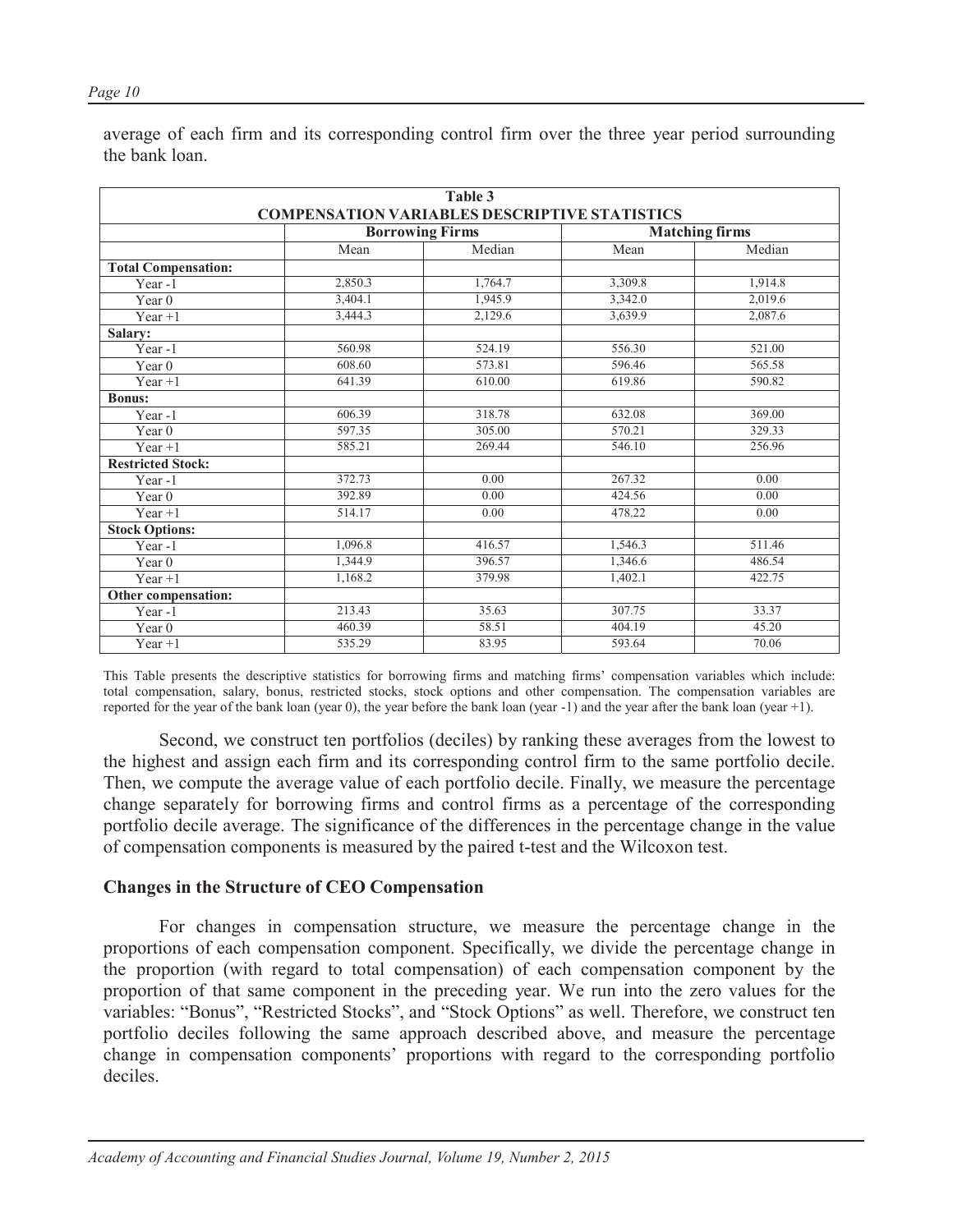| Table 3                    |         |                                                      |         |                       |  |  |  |  |  |
|----------------------------|---------|------------------------------------------------------|---------|-----------------------|--|--|--|--|--|
|                            |         | <b>COMPENSATION VARIABLES DESCRIPTIVE STATISTICS</b> |         |                       |  |  |  |  |  |
|                            |         | <b>Borrowing Firms</b>                               |         | <b>Matching firms</b> |  |  |  |  |  |
|                            | Mean    | Median                                               | Mean    | Median                |  |  |  |  |  |
| <b>Total Compensation:</b> |         |                                                      |         |                       |  |  |  |  |  |
| Year-1                     | 2,850.3 | 1,764.7                                              | 3,309.8 | 1,914.8               |  |  |  |  |  |
| Year 0                     | 3,404.1 | 1,945.9                                              | 3,342.0 | 2,019.6               |  |  |  |  |  |
| $Year + 1$                 | 3,444.3 | 2,129.6                                              | 3,639.9 | 2,087.6               |  |  |  |  |  |
| Salary:                    |         |                                                      |         |                       |  |  |  |  |  |
| Year-1                     | 560.98  | 524.19                                               | 556.30  | 521.00                |  |  |  |  |  |
| Year $0$                   | 608.60  | 573.81                                               | 596.46  | 565.58                |  |  |  |  |  |
| $Year + 1$                 | 641.39  | 610.00                                               | 619.86  | 590.82                |  |  |  |  |  |
| <b>Bonus:</b>              |         |                                                      |         |                       |  |  |  |  |  |
| Year-1                     | 606.39  | 318.78                                               | 632.08  | 369.00                |  |  |  |  |  |
| Year $0$                   | 597.35  | 305.00                                               | 570.21  | 329.33                |  |  |  |  |  |
| $Year + 1$                 | 585.21  | 269.44                                               | 546.10  | 256.96                |  |  |  |  |  |
| <b>Restricted Stock:</b>   |         |                                                      |         |                       |  |  |  |  |  |
| Year-1                     | 372.73  | 0.00                                                 | 267.32  | 0.00                  |  |  |  |  |  |
| Year <sub>0</sub>          | 392.89  | 0.00                                                 | 424.56  | 0.00                  |  |  |  |  |  |
| $Year + 1$                 | 514.17  | 0.00                                                 | 478.22  | 0.00                  |  |  |  |  |  |
| <b>Stock Options:</b>      |         |                                                      |         |                       |  |  |  |  |  |
| Year-1                     | 1,096.8 | 416.57                                               | 1,546.3 | 511.46                |  |  |  |  |  |
| Year 0                     | 1,344.9 | 396.57                                               | 1,346.6 | 486.54                |  |  |  |  |  |
| $Year + 1$                 | 1,168.2 | 379.98                                               | 1,402.1 | 422.75                |  |  |  |  |  |
| Other compensation:        |         |                                                      |         |                       |  |  |  |  |  |
| Year-1                     | 213.43  | 35.63                                                | 307.75  | 33.37                 |  |  |  |  |  |
| Year $0$                   | 460.39  | 58.51                                                | 404.19  | 45.20                 |  |  |  |  |  |
| Year $+1$                  | 535.29  | 83.95                                                | 593.64  | 70.06                 |  |  |  |  |  |

average of each firm and its corresponding control firm over the three year period surrounding the bank loan.

This Table presents the descriptive statistics for borrowing firms and matching firms' compensation variables which include: total compensation, salary, bonus, restricted stocks, stock options and other compensation. The compensation variables are reported for the year of the bank loan (year 0), the year before the bank loan (year -1) and the year after the bank loan (year +1).

Second, we construct ten portfolios (deciles) by ranking these averages from the lowest to the highest and assign each firm and its corresponding control firm to the same portfolio decile. Then, we compute the average value of each portfolio decile. Finally, we measure the percentage change separately for borrowing firms and control firms as a percentage of the corresponding portfolio decile average. The significance of the differences in the percentage change in the value of compensation components is measured by the paired t-test and the Wilcoxon test.

#### **Changes in the Structure of CEO Compensation**

For changes in compensation structure, we measure the percentage change in the proportions of each compensation component. Specifically, we divide the percentage change in the proportion (with regard to total compensation) of each compensation component by the proportion of that same component in the preceding year. We run into the zero values for the variables: "Bonus", "Restricted Stocks", and "Stock Options" as well. Therefore, we construct ten portfolio deciles following the same approach described above, and measure the percentage change in compensation components' proportions with regard to the corresponding portfolio deciles.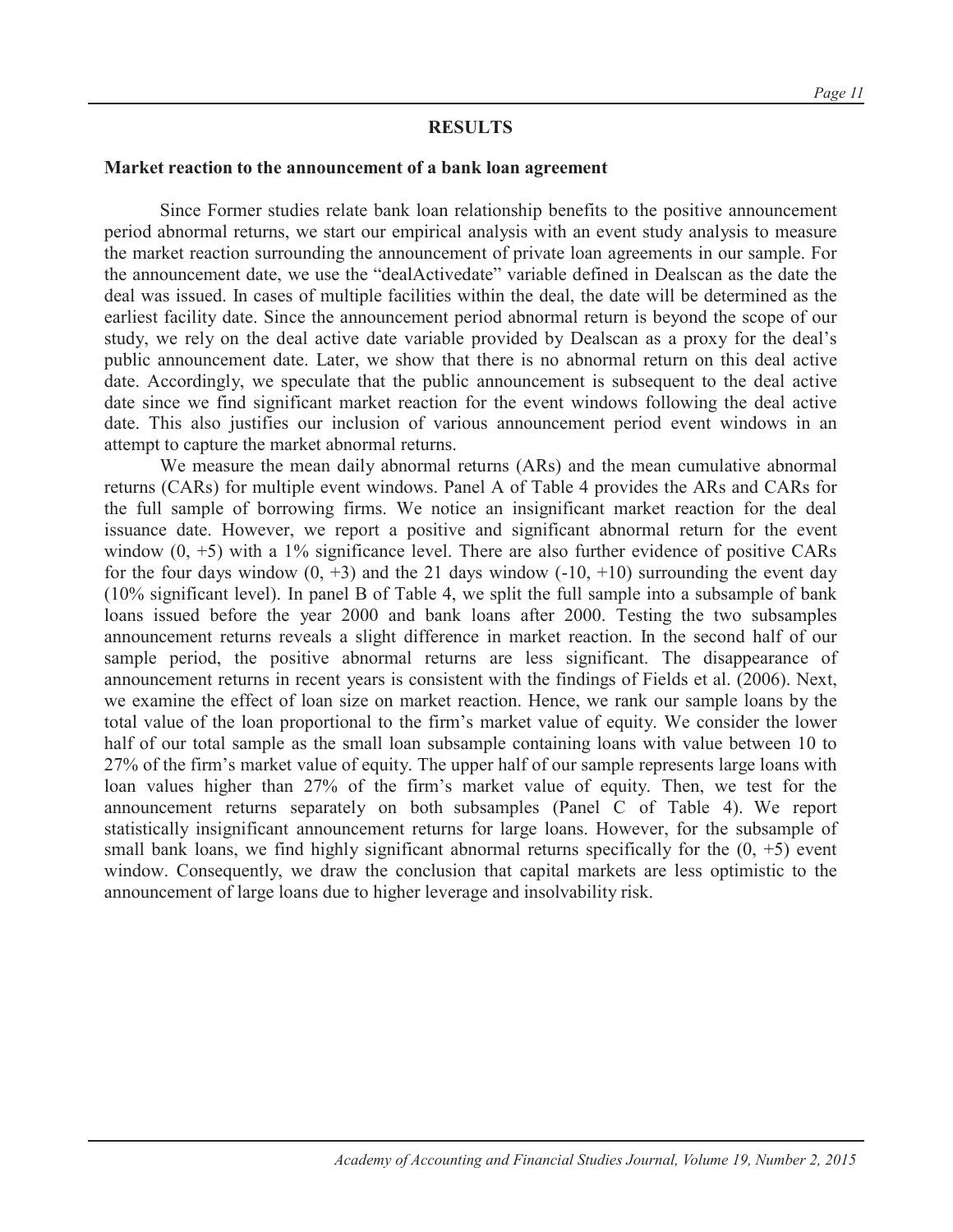#### **RESULTS**

#### **Market reaction to the announcement of a bank loan agreement**

Since Former studies relate bank loan relationship benefits to the positive announcement period abnormal returns, we start our empirical analysis with an event study analysis to measure the market reaction surrounding the announcement of private loan agreements in our sample. For the announcement date, we use the "dealActivedate" variable defined in Dealscan as the date the deal was issued. In cases of multiple facilities within the deal, the date will be determined as the earliest facility date. Since the announcement period abnormal return is beyond the scope of our study, we rely on the deal active date variable provided by Dealscan as a proxy for the deal's public announcement date. Later, we show that there is no abnormal return on this deal active date. Accordingly, we speculate that the public announcement is subsequent to the deal active date since we find significant market reaction for the event windows following the deal active date. This also justifies our inclusion of various announcement period event windows in an attempt to capture the market abnormal returns.

We measure the mean daily abnormal returns (ARs) and the mean cumulative abnormal returns (CARs) for multiple event windows. Panel A of Table 4 provides the ARs and CARs for the full sample of borrowing firms. We notice an insignificant market reaction for the deal issuance date. However, we report a positive and significant abnormal return for the event window  $(0, +5)$  with a 1% significance level. There are also further evidence of positive CARs for the four days window  $(0, +3)$  and the 21 days window  $(-10, +10)$  surrounding the event day (10% significant level). In panel B of Table 4, we split the full sample into a subsample of bank loans issued before the year 2000 and bank loans after 2000. Testing the two subsamples announcement returns reveals a slight difference in market reaction. In the second half of our sample period, the positive abnormal returns are less significant. The disappearance of announcement returns in recent years is consistent with the findings of Fields et al. (2006). Next, we examine the effect of loan size on market reaction. Hence, we rank our sample loans by the total value of the loan proportional to the firm's market value of equity. We consider the lower half of our total sample as the small loan subsample containing loans with value between 10 to 27% of the firm's market value of equity. The upper half of our sample represents large loans with loan values higher than 27% of the firm's market value of equity. Then, we test for the announcement returns separately on both subsamples (Panel C of Table 4). We report statistically insignificant announcement returns for large loans. However, for the subsample of small bank loans, we find highly significant abnormal returns specifically for the  $(0, +5)$  event window. Consequently, we draw the conclusion that capital markets are less optimistic to the announcement of large loans due to higher leverage and insolvability risk.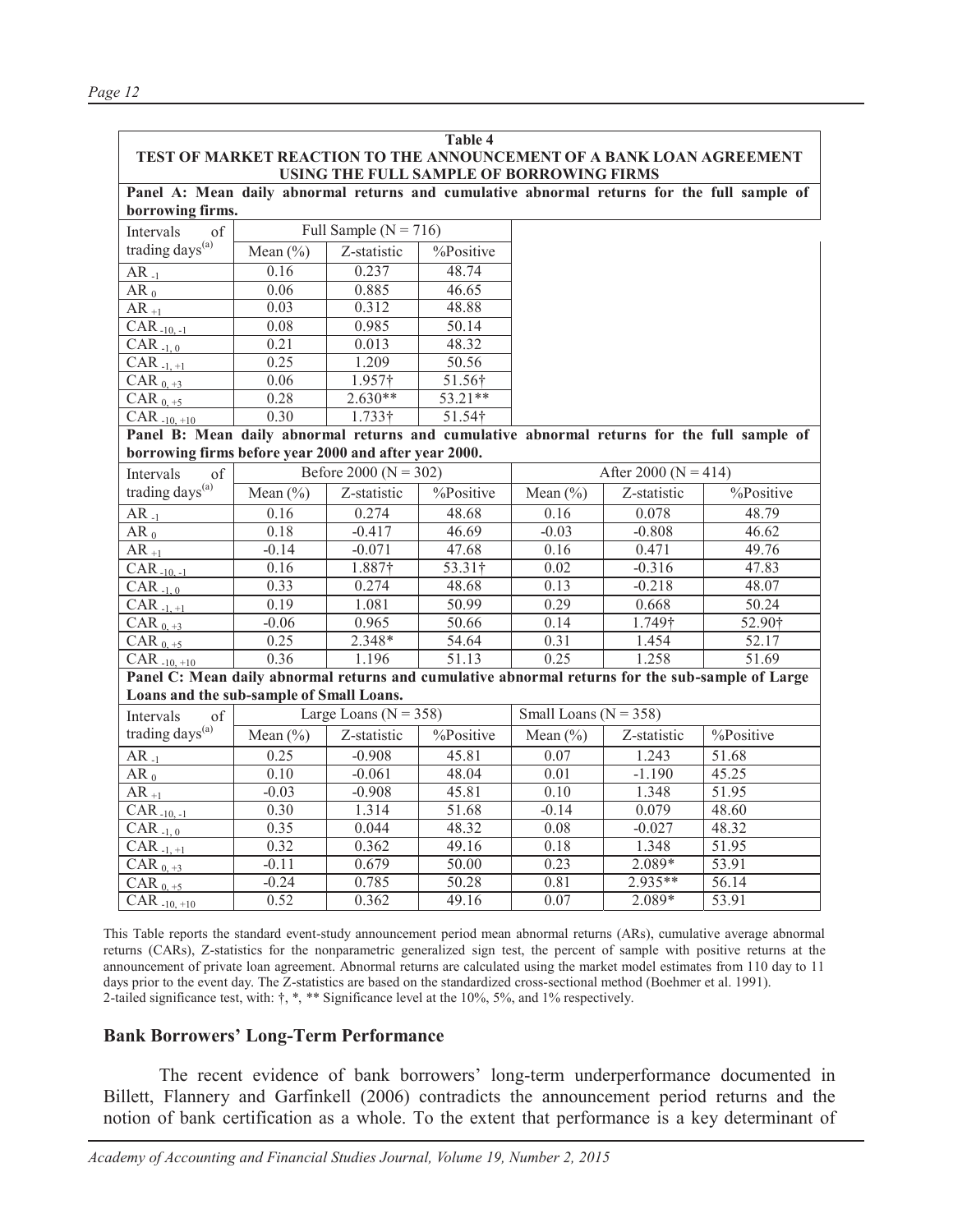| <b>Table 4</b>                                                       |
|----------------------------------------------------------------------|
| TEST OF MARKET REACTION TO THE ANNOUNCEMENT OF A BANK LOAN AGREEMENT |
| USING THE FULL SAMPLE OF BORROWING FIRMS                             |

**Panel A: Mean daily abnormal returns and cumulative abnormal returns for the full sample of borrowing firms.**

| of<br>Intervals             |              | Full Sample ( $N = 716$ ) |           |
|-----------------------------|--------------|---------------------------|-----------|
| trading days <sup>(a)</sup> | Mean $(\% )$ | Z-statistic               | %Positive |
| $AR_{-1}$                   | 0.16         | 0.237                     | 48.74     |
| $AR_0$                      | 0.06         | 0.885                     | 46.65     |
| $AR_{+1}$                   | 0.03         | 0.312                     | 48.88     |
| $CAR_{-10,-1}$              | 0.08         | 0.985                     | 50.14     |
| CAR $-1, 0$                 | 0.21         | 0.013                     | 48.32     |
| $CAR_{-1, +1}$              | 0.25         | 1.209                     | 50.56     |
| CAR $_{0,1}$                | 0.06         | 1.957 <sup>†</sup>        | 51.56†    |
| CAR $_{0, \frac{+5}{-5}}$   | 0.28         | $2.630**$                 | 53.21**   |
| $CAR_{-10, +10}$            | 0.30         | $1.733\dagger$            | 51.54†    |

**Panel B: Mean daily abnormal returns and cumulative abnormal returns for the full sample of borrowing firms before year 2000 and after year 2000.**

| of<br>Intervals                          |              | Before 2000 ( $N = 302$ ) |           | After 2000 ( $N = 414$ )  |             |                                                                                                  |  |
|------------------------------------------|--------------|---------------------------|-----------|---------------------------|-------------|--------------------------------------------------------------------------------------------------|--|
| trading days <sup>(a)</sup>              | Mean $(\% )$ | Z-statistic               | %Positive | Mean $(\% )$              | Z-statistic | %Positive                                                                                        |  |
| $AR_{-1}$                                | 0.16         | 0.274                     | 48.68     | 0.16                      | 0.078       | 48.79                                                                                            |  |
| $AR_0$                                   | 0.18         | $-0.417$                  | 46.69     | $-0.03$                   | $-0.808$    | 46.62                                                                                            |  |
| $AR_{+1}$                                | $-0.14$      | $-0.071$                  | 47.68     | 0.16                      | 0.471       | 49.76                                                                                            |  |
| $CAR_{-10,-1}$                           | 0.16         | 1.887†                    | 53.31†    | 0.02                      | $-0.316$    | 47.83                                                                                            |  |
| CAR $-1, 0$                              | 0.33         | 0.274                     | 48.68     | 0.13                      | $-0.218$    | 48.07                                                                                            |  |
| $CAR_{-1,+1}$                            | 0.19         | 1.081                     | 50.99     | 0.29                      | 0.668       | 50.24                                                                                            |  |
| CAR $_{0, +3}$                           | $-0.06$      | 0.965                     | 50.66     | 0.14                      | 1.749†      | 52.90†                                                                                           |  |
| CAR $_{0, +5}$                           | 0.25         | 2.348*                    | 54.64     | 0.31                      | 1.454       | 52.17                                                                                            |  |
| CAR $-10, +10$                           | 0.36         | 1.196                     | 51.13     | 0.25                      | 1.258       | 51.69                                                                                            |  |
|                                          |              |                           |           |                           |             | Panel C: Mean daily abnormal returns and cumulative abnormal returns for the sub-sample of Large |  |
| Loans and the sub-sample of Small Loans. |              |                           |           |                           |             |                                                                                                  |  |
| of<br>Intervals                          |              | Large Loans ( $N = 358$ ) |           | Small Loans ( $N = 358$ ) |             |                                                                                                  |  |
| trading days <sup>(a)</sup>              | Mean $(\% )$ | Z-statistic               | %Positive | Mean $(\% )$              | Z-statistic | %Positive                                                                                        |  |
| $AR_{-1}$                                | 0.25         | $-0.908$                  | 45.81     | 0.07                      | 1.243       | 51.68                                                                                            |  |

| $max_{y}$ and $y$ | $1$ vicali $\binom{70}{7}$ | 2-sialistic | 701 USILI V U | $1$ vicali $\binom{70}{7}$ | 2-sialistic | $\sqrt{01}$ Obtainer |
|-------------------|----------------------------|-------------|---------------|----------------------------|-------------|----------------------|
| $AR_{-1}$         | 0.25                       | $-0.908$    | 45.81         | 0.07                       | 1.243       | 51.68                |
| $AR_0$            | 0.10                       | $-0.061$    | 48.04         | 0.01                       | $-1.190$    | 45.25                |
| $AR_{+1}$         | $-0.03$                    | $-0.908$    | 45.81         | 0.10                       | 1.348       | 51.95                |
| $CAR_{-10,-1}$    | 0.30                       | 1.314       | 51.68         | $-0.14$                    | 0.079       | 48.60                |
| $CAR_{-1.0}$      | 0.35                       | 0.044       | 48.32         | 0.08                       | $-0.027$    | 48.32                |
| $CAR_{-1,+1}$     | 0.32                       | 0.362       | 49.16         | 0.18                       | 1.348       | 51.95                |
| CAR $_{0, +3}$    | $-0.11$                    | 0.679       | 50.00         | 0.23                       | 2.089*      | 53.91                |
| CAR $_{0.5}$      | $-0.24$                    | 0.785       | 50.28         | 0.81                       | $2.935**$   | 56.14                |
| $CAR_{-10, +10}$  | 0.52                       | 0.362       | 49.16         | 0.07                       | $2.089*$    | 53.91                |

This Table reports the standard event-study announcement period mean abnormal returns (ARs), cumulative average abnormal returns (CARs), Z-statistics for the nonparametric generalized sign test, the percent of sample with positive returns at the announcement of private loan agreement. Abnormal returns are calculated using the market model estimates from 110 day to 11 days prior to the event day. The Z-statistics are based on the standardized cross-sectional method (Boehmer et al. 1991). 2-tailed significance test, with:  $\dagger$ ,  $*$ ,  $*$  Significance level at the 10%, 5%, and 1% respectively.

#### **Bank Borrowers' Long-Term Performance**

The recent evidence of bank borrowers' long-term underperformance documented in Billett, Flannery and Garfinkell (2006) contradicts the announcement period returns and the notion of bank certification as a whole. To the extent that performance is a key determinant of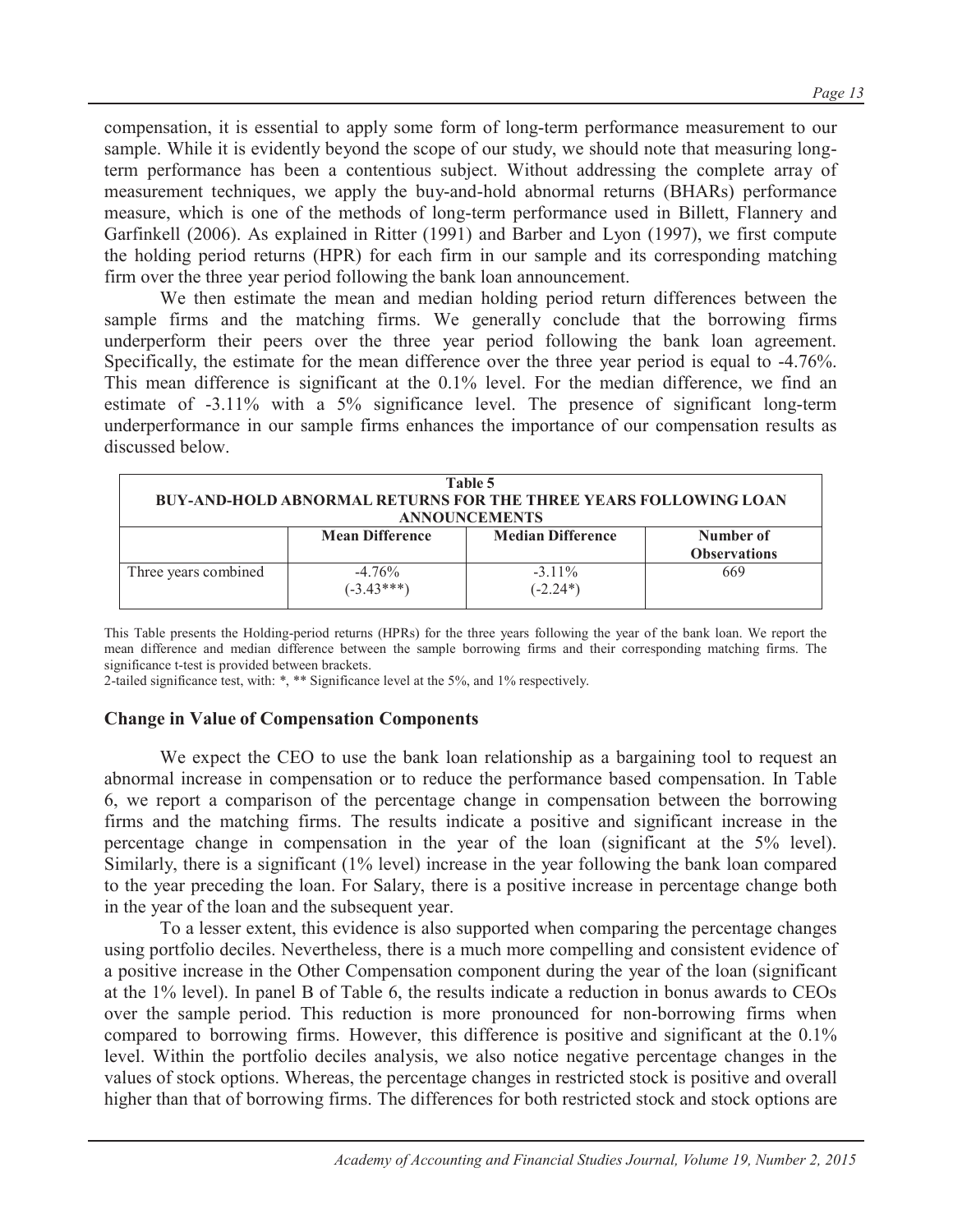compensation, it is essential to apply some form of long-term performance measurement to our sample. While it is evidently beyond the scope of our study, we should note that measuring longterm performance has been a contentious subject. Without addressing the complete array of measurement techniques, we apply the buy-and-hold abnormal returns (BHARs) performance measure, which is one of the methods of long-term performance used in Billett, Flannery and Garfinkell (2006). As explained in Ritter (1991) and Barber and Lyon (1997), we first compute the holding period returns (HPR) for each firm in our sample and its corresponding matching firm over the three year period following the bank loan announcement.

We then estimate the mean and median holding period return differences between the sample firms and the matching firms. We generally conclude that the borrowing firms underperform their peers over the three year period following the bank loan agreement. Specifically, the estimate for the mean difference over the three year period is equal to -4.76%. This mean difference is significant at the 0.1% level. For the median difference, we find an estimate of -3.11% with a 5% significance level. The presence of significant long-term underperformance in our sample firms enhances the importance of our compensation results as discussed below.

| Table 5<br><b>BUY-AND-HOLD ABNORMAL RETURNS FOR THE THREE YEARS FOLLOWING LOAN</b><br><b>ANNOUNCEMENTS</b> |                           |                          |                                  |  |  |  |  |
|------------------------------------------------------------------------------------------------------------|---------------------------|--------------------------|----------------------------------|--|--|--|--|
|                                                                                                            | <b>Mean Difference</b>    | <b>Median Difference</b> | Number of<br><b>Observations</b> |  |  |  |  |
| Three years combined                                                                                       | $-4.76\%$<br>$(-3.43***)$ | $-3.11\%$<br>$(-2.24*)$  | 669                              |  |  |  |  |

This Table presents the Holding-period returns (HPRs) for the three years following the year of the bank loan. We report the mean difference and median difference between the sample borrowing firms and their corresponding matching firms. The significance t-test is provided between brackets.

2-tailed significance test, with: \*, \*\* Significance level at the 5%, and 1% respectively.

#### **Change in Value of Compensation Components**

We expect the CEO to use the bank loan relationship as a bargaining tool to request an abnormal increase in compensation or to reduce the performance based compensation. In Table 6, we report a comparison of the percentage change in compensation between the borrowing firms and the matching firms. The results indicate a positive and significant increase in the percentage change in compensation in the year of the loan (significant at the 5% level). Similarly, there is a significant (1% level) increase in the year following the bank loan compared to the year preceding the loan. For Salary, there is a positive increase in percentage change both in the year of the loan and the subsequent year.

To a lesser extent, this evidence is also supported when comparing the percentage changes using portfolio deciles. Nevertheless, there is a much more compelling and consistent evidence of a positive increase in the Other Compensation component during the year of the loan (significant at the 1% level). In panel B of Table 6, the results indicate a reduction in bonus awards to CEOs over the sample period. This reduction is more pronounced for non-borrowing firms when compared to borrowing firms. However, this difference is positive and significant at the 0.1% level. Within the portfolio deciles analysis, we also notice negative percentage changes in the values of stock options. Whereas, the percentage changes in restricted stock is positive and overall higher than that of borrowing firms. The differences for both restricted stock and stock options are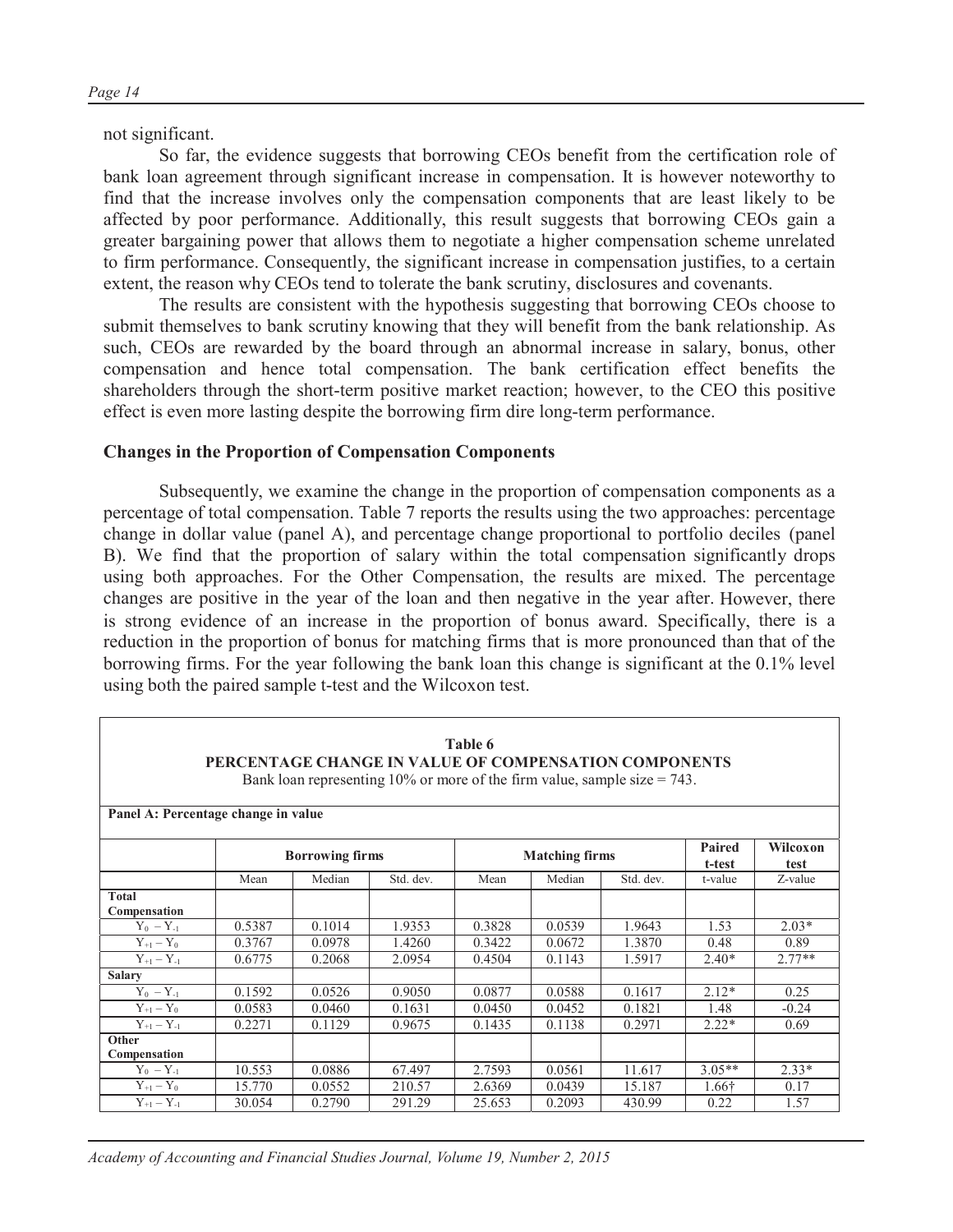not significant.

So far, the evidence suggests that borrowing CEOs benefit from the certification role of bank loan agreement through significant increase in compensation. It is however noteworthy to find that the increase involves only the compensation components that are least likely to be affected by poor performance. Additionally, this result suggests that borrowing CEOs gain a greater bargaining power that allows them to negotiate a higher compensation scheme unrelated to firm performance. Consequently, the significant increase in compensation justifies, to a certain extent, the reason why CEOs tend to tolerate the bank scrutiny, disclosures and covenants.

The results are consistent with the hypothesis suggesting that borrowing CEOs choose to submit themselves to bank scrutiny knowing that they will benefit from the bank relationship. As such, CEOs are rewarded by the board through an abnormal increase in salary, bonus, other compensation and hence total compensation. The bank certification effect benefits the shareholders through the short-term positive market reaction; however, to the CEO this positive effect is even more lasting despite the borrowing firm dire long-term performance.

#### **Changes in the Proportion of Compensation Components**

Subsequently, we examine the change in the proportion of compensation components as a percentage of total compensation. Table 7 reports the results using the two approaches: percentage change in dollar value (panel A), and percentage change proportional to portfolio deciles (panel B). We find that the proportion of salary within the total compensation significantly drops using both approaches. For the Other Compensation, the results are mixed. The percentage changes are positive in the year of the loan and then negative in the year after. However, there is strong evidence of an increase in the proportion of bonus award. Specifically, there is a reduction in the proportion of bonus for matching firms that is more pronounced than that of the borrowing firms. For the year following the bank loan this change is significant at the 0.1% level using both the paired sample t-test and the Wilcoxon test.

| Table 6<br>PERCENTAGE CHANGE IN VALUE OF COMPENSATION COMPONENTS<br>Bank loan representing 10% or more of the firm value, sample size $= 743$ . |        |        |           |        |        |           |          |          |  |  |  |  |  |
|-------------------------------------------------------------------------------------------------------------------------------------------------|--------|--------|-----------|--------|--------|-----------|----------|----------|--|--|--|--|--|
| Panel A: Percentage change in value<br>Paired<br>Wilcoxon<br><b>Borrowing firms</b><br><b>Matching firms</b><br>t-test<br>test                  |        |        |           |        |        |           |          |          |  |  |  |  |  |
|                                                                                                                                                 | Mean   | Median | Std. dev. | Mean   | Median | Std. dev. | t-value  | Z-value  |  |  |  |  |  |
| <b>Total</b><br>Compensation                                                                                                                    |        |        |           |        |        |           |          |          |  |  |  |  |  |
| $Y_0 - Y_{-1}$                                                                                                                                  | 0.5387 | 0.1014 | 1.9353    | 0.3828 | 0.0539 | 1.9643    | 1.53     | $2.03*$  |  |  |  |  |  |
| $Y_{+1} - Y_0$                                                                                                                                  | 0.3767 | 0.0978 | 1.4260    | 0.3422 | 0.0672 | 1.3870    | 0.48     | 0.89     |  |  |  |  |  |
| $Y_{+1} - Y_{-1}$                                                                                                                               | 0.6775 | 0.2068 | 2.0954    | 0.4504 | 0.1143 | 1.5917    | $2.40*$  | $2.77**$ |  |  |  |  |  |
| <b>Salary</b>                                                                                                                                   |        |        |           |        |        |           |          |          |  |  |  |  |  |
| $Y_0 - Y_{-1}$                                                                                                                                  | 0.1592 | 0.0526 | 0.9050    | 0.0877 | 0.0588 | 0.1617    | $2.12*$  | 0.25     |  |  |  |  |  |
| $Y_{+1} - Y_0$                                                                                                                                  | 0.0583 | 0.0460 | 0.1631    | 0.0450 | 0.0452 | 0.1821    | 1.48     | $-0.24$  |  |  |  |  |  |
| $Y_{+1} - Y_{-1}$                                                                                                                               | 0.2271 | 0.1129 | 0.9675    | 0.1435 | 0.1138 | 0.2971    | $2.22*$  | 0.69     |  |  |  |  |  |
| Other                                                                                                                                           |        |        |           |        |        |           |          |          |  |  |  |  |  |
| Compensation                                                                                                                                    |        |        |           |        |        |           |          |          |  |  |  |  |  |
| $Y_0 - Y_{-1}$                                                                                                                                  | 10.553 | 0.0886 | 67.497    | 2.7593 | 0.0561 | 11.617    | $3.05**$ | $2.33*$  |  |  |  |  |  |
| $Y_{+1} - Y_0$                                                                                                                                  | 15.770 | 0.0552 | 210.57    | 2.6369 | 0.0439 | 15.187    | 1.66†    | 0.17     |  |  |  |  |  |
| $Y_{+1} - Y_{-1}$                                                                                                                               | 30.054 | 0.2790 | 291.29    | 25.653 | 0.2093 | 430.99    | 0.22     | 1.57     |  |  |  |  |  |

*Academy of Accounting and Financial Studies Journal, Volume 19, Number 2, 2015*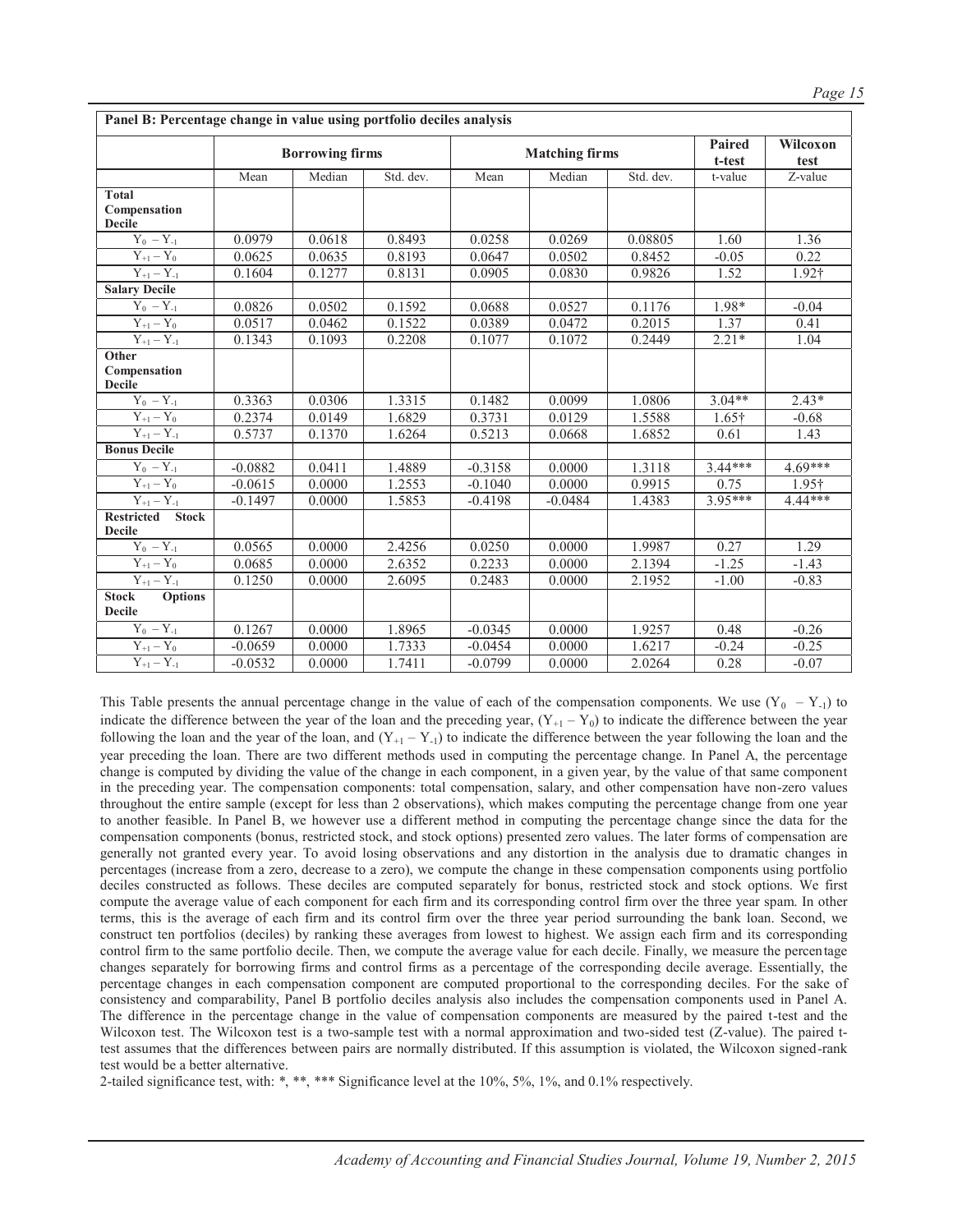|                                                       |           | <b>Borrowing firms</b> |                     |           | <b>Matching firms</b> |           | Paired<br>t-test | Wilcoxon<br>test      |
|-------------------------------------------------------|-----------|------------------------|---------------------|-----------|-----------------------|-----------|------------------|-----------------------|
|                                                       | Mean      | Median                 | Std. dev.           | Mean      | Median                | Std. dev. | t-value          | $\overline{Z}$ -value |
| <b>Total</b>                                          |           |                        |                     |           |                       |           |                  |                       |
| Compensation                                          |           |                        |                     |           |                       |           |                  |                       |
| <b>Decile</b>                                         |           |                        |                     |           |                       |           |                  |                       |
| $Y_0 - Y_{-1}$                                        | 0.0979    | 0.0618                 | 0.8493              | 0.0258    | 0.0269                | 0.08805   | 1.60             | 1.36                  |
| $Y_{+1} - Y_0$                                        | 0.0625    | 0.0635                 | 0.8193              | 0.0647    | 0.0502                | 0.8452    | $-0.05$          | 0.22                  |
| $Y_{\scriptscriptstyle +1}-Y_{\scriptscriptstyle -1}$ | 0.1604    | 0.1277                 | 0.8131              | 0.0905    | 0.0830                | 0.9826    | 1.52             | 1.92†                 |
| <b>Salary Decile</b>                                  |           |                        |                     |           |                       |           |                  |                       |
| $Y_0 - Y_{-1}$                                        | 0.0826    | 0.0502                 | $\overline{0.1592}$ | 0.0688    | 0.0527                | 0.1176    | 1.98*            | $-0.04$               |
| $Y_{+1} - Y_0$                                        | 0.0517    | 0.0462                 | 0.1522              | 0.0389    | 0.0472                | 0.2015    | 1.37             | 0.41                  |
| $\overline{Y_{+1}} - Y_{-1}$                          | 0.1343    | 0.1093                 | 0.2208              | 0.1077    | 0.1072                | 0.2449    | $2.21*$          | 1.04                  |
| Other                                                 |           |                        |                     |           |                       |           |                  |                       |
| Compensation<br><b>Decile</b>                         |           |                        |                     |           |                       |           |                  |                       |
| $Y_0 - Y_{-1}$                                        | 0.3363    | 0.0306                 | 1.3315              | 0.1482    | 0.0099                | 1.0806    | $3.04**$         | $2.43*$               |
| $Y_{+1} - Y_0$                                        | 0.2374    | 0.0149                 | 1.6829              | 0.3731    | 0.0129                | 1.5588    | $1.65\dagger$    | $-0.68$               |
| $Y_{+1} - Y_{-1}$                                     | 0.5737    | 0.1370                 | 1.6264              | 0.5213    | 0.0668                | 1.6852    | 0.61             | 1.43                  |
| <b>Bonus Decile</b>                                   |           |                        |                     |           |                       |           |                  |                       |
| $Y_0 - Y_{-1}$                                        | $-0.0882$ | 0.0411                 | 1.4889              | $-0.3158$ | 0.0000                | 1.3118    | 3.44***          | $4.69***$             |
| $Y_{+1} - Y_0$                                        | $-0.0615$ | 0.0000                 | 1.2553              | $-0.1040$ | 0.0000                | 0.9915    | 0.75             | $1.95\dagger$         |
| $Y_{+1} - Y_{-1}$                                     | $-0.1497$ | 0.0000                 | 1.5853              | $-0.4198$ | $-0.0484$             | 1.4383    | $3.95***$        | $4.44***$             |
| <b>Stock</b><br><b>Restricted</b><br><b>Decile</b>    |           |                        |                     |           |                       |           |                  |                       |
| $Y_0 - Y_{-1}$                                        | 0.0565    | 0.0000                 | 2.4256              | 0.0250    | 0.0000                | 1.9987    | 0.27             | 1.29                  |
| $Y_{+1} - Y_0$                                        | 0.0685    | 0.0000                 | 2.6352              | 0.2233    | 0.0000                | 2.1394    | $-1.25$          | $-1.43$               |
| $Y_{+1} - Y_{-1}$                                     | 0.1250    | 0.0000                 | 2.6095              | 0.2483    | 0.0000                | 2.1952    | $-1.00$          | $-0.83$               |
| <b>Stock</b><br><b>Options</b><br><b>Decile</b>       |           |                        |                     |           |                       |           |                  |                       |
| $Y_0 - Y_{-1}$                                        | 0.1267    | 0.0000                 | 1.8965              | $-0.0345$ | 0.0000                | 1.9257    | 0.48             | $-0.26$               |
| $Y_{+1} - Y_0$                                        | $-0.0659$ | 0.0000                 | 1.7333              | $-0.0454$ | 0.0000                | 1.6217    | $-0.24$          | $-0.25$               |
| $Y_{+1} - Y_{-1}$                                     | $-0.0532$ | 0.0000                 | 1.7411              | $-0.0799$ | 0.0000                | 2.0264    | 0.28             | $-0.07$               |

This Table presents the annual percentage change in the value of each of the compensation components. We use  $(Y_0 - Y_{-1})$  to indicate the difference between the year of the loan and the preceding year,  $(Y_{+1} - Y_0)$  to indicate the difference between the year following the loan and the year of the loan, and  $(Y_{+1} - Y_{-1})$  to indicate the difference between the year following the loan and the year preceding the loan. There are two different methods used in computing the percentage change. In Panel A, the percentage change is computed by dividing the value of the change in each component, in a given year, by the value of that same component in the preceding year. The compensation components: total compensation, salary, and other compensation have non-zero values throughout the entire sample (except for less than 2 observations), which makes computing the percentage change from one year to another feasible. In Panel B, we however use a different method in computing the percentage change since the data for the compensation components (bonus, restricted stock, and stock options) presented zero values. The later forms of compensation are generally not granted every year. To avoid losing observations and any distortion in the analysis due to dramatic changes in percentages (increase from a zero, decrease to a zero), we compute the change in these compensation components using portfolio deciles constructed as follows. These deciles are computed separately for bonus, restricted stock and stock options. We first compute the average value of each component for each firm and its corresponding control firm over the three year spam. In other terms, this is the average of each firm and its control firm over the three year period surrounding the bank loan. Second, we construct ten portfolios (deciles) by ranking these averages from lowest to highest. We assign each firm and its corresponding control firm to the same portfolio decile. Then, we compute the average value for each decile. Finally, we measure the percentage changes separately for borrowing firms and control firms as a percentage of the corresponding decile average. Essentially, the percentage changes in each compensation component are computed proportional to the corresponding deciles. For the sake of consistency and comparability, Panel B portfolio deciles analysis also includes the compensation components used in Panel A. The difference in the percentage change in the value of compensation components are measured by the paired t-test and the Wilcoxon test. The Wilcoxon test is a two-sample test with a normal approximation and two-sided test (Z-value). The paired ttest assumes that the differences between pairs are normally distributed. If this assumption is violated, the Wilcoxon signed-rank test would be a better alternative.

2-tailed significance test, with: \*, \*\*, \*\*\* Significance level at the 10%, 5%, 1%, and 0.1% respectively.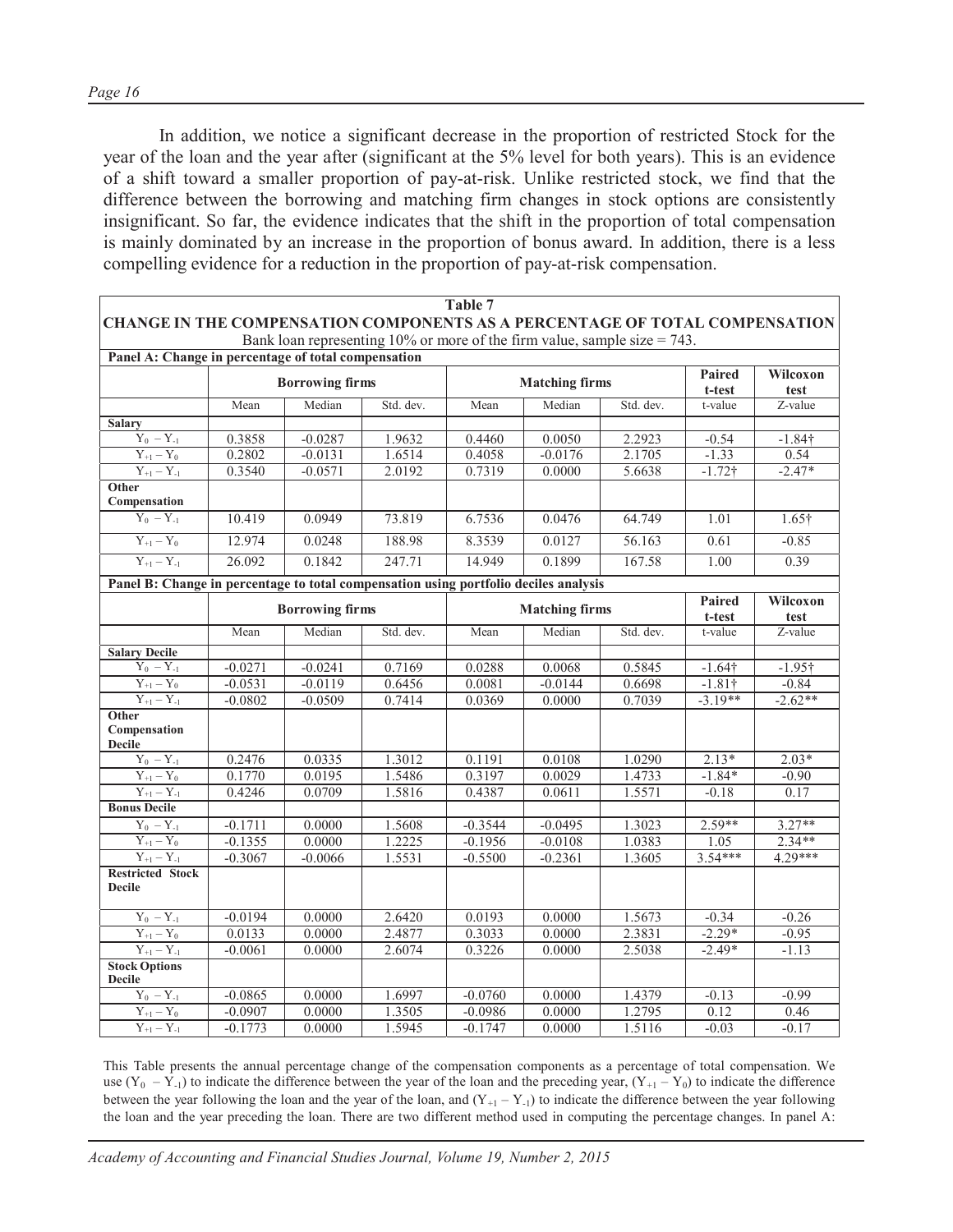In addition, we notice a significant decrease in the proportion of restricted Stock for the year of the loan and the year after (significant at the 5% level for both years). This is an evidence of a shift toward a smaller proportion of pay-at-risk. Unlike restricted stock, we find that the difference between the borrowing and matching firm changes in stock options are consistently insignificant. So far, the evidence indicates that the shift in the proportion of total compensation is mainly dominated by an increase in the proportion of bonus award. In addition, there is a less compelling evidence for a reduction in the proportion of pay-at-risk compensation.

| <b>CHANGE IN THE COMPENSATION COMPONENTS AS A PERCENTAGE OF TOTAL COMPENSATION</b>   |           |                        | Bank loan representing 10% or more of the firm value, sample size $= 743$ . | Table 7   |                       |           |                  |                  |
|--------------------------------------------------------------------------------------|-----------|------------------------|-----------------------------------------------------------------------------|-----------|-----------------------|-----------|------------------|------------------|
| Panel A: Change in percentage of total compensation                                  |           |                        |                                                                             |           |                       |           |                  |                  |
|                                                                                      |           | <b>Borrowing firms</b> |                                                                             |           | <b>Matching firms</b> |           | Paired<br>t-test | Wilcoxon<br>test |
|                                                                                      | Mean      | Median                 | Std. dev.                                                                   | Mean      | Median                | Std. dev. | t-value          | Z-value          |
| <b>Salary</b>                                                                        |           |                        |                                                                             |           |                       |           |                  |                  |
| $Y_0 - Y_{-1}$                                                                       | 0.3858    | $-0.0287$              | 1.9632                                                                      | 0.4460    | 0.0050                | 2.2923    | $-0.54$          | $-1.84$ †        |
| $Y_{+1} - Y_0$                                                                       | 0.2802    | $-0.0131$              | 1.6514                                                                      | 0.4058    | $-0.0176$             | 2.1705    | $-1.33$          | 0.54             |
| $Y_{+1} - Y_{-1}$                                                                    | 0.3540    | $-0.0571$              | 2.0192                                                                      | 0.7319    | 0.0000                | 5.6638    | $-1.72$ †        | $-2.47*$         |
| Other<br>Compensation                                                                |           |                        |                                                                             |           |                       |           |                  |                  |
| $Y_0 - Y_{-1}$                                                                       | 10.419    | 0.0949                 | 73.819                                                                      | 6.7536    | 0.0476                | 64.749    | 1.01             | $1.65\dagger$    |
| $Y_{+1} - Y_0$                                                                       | 12.974    | 0.0248                 | 188.98                                                                      | 8.3539    | 0.0127                | 56.163    | 0.61             | $-0.85$          |
| $Y_{+1} - Y_{-1}$                                                                    | 26.092    | 0.1842                 | 247.71                                                                      | 14.949    | 0.1899                | 167.58    | 1.00             | 0.39             |
| Panel B: Change in percentage to total compensation using portfolio deciles analysis |           |                        |                                                                             |           |                       |           |                  |                  |
|                                                                                      |           | <b>Borrowing firms</b> |                                                                             |           | <b>Matching firms</b> |           | Paired           | Wilcoxon         |
|                                                                                      |           |                        |                                                                             |           |                       |           | t-test           | test             |
|                                                                                      | Mean      | Median                 | Std. dev.                                                                   | Mean      | Median                | Std. dev. | t-value          | Z-value          |
| <b>Salary Decile</b>                                                                 |           |                        |                                                                             |           |                       |           |                  |                  |
| $Y_0 - Y_{-1}$                                                                       | $-0.0271$ | $-0.0241$              | 0.7169                                                                      | 0.0288    | 0.0068                | 0.5845    | $-1.64\dagger$   | $-1.95\dagger$   |
| $Y_{+1} - Y_0$                                                                       | $-0.0531$ | $-0.0119$              | 0.6456                                                                      | 0.0081    | $-0.0144$             | 0.6698    | $-1.81\dagger$   | $-0.84$          |
| $Y_{\pm 1}-Y_{\pm 1}$                                                                | $-0.0802$ | $-0.0509$              | 0.7414                                                                      | 0.0369    | 0.0000                | 0.7039    | $-3.19**$        | $-2.62**$        |
| Other<br>Compensation<br><b>Decile</b>                                               |           |                        |                                                                             |           |                       |           |                  |                  |
| $Y_0 - Y_{-1}$                                                                       | 0.2476    | 0.0335                 | 1.3012                                                                      | 0.1191    | 0.0108                | 1.0290    | $2.13*$          | $2.03*$          |
| $Y_{\pm 1}-Y_0$                                                                      | 0.1770    | 0.0195                 | 1.5486                                                                      | 0.3197    | 0.0029                | 1.4733    | $-1.84*$         | $-0.90$          |
| $Y_{+1} - Y_{-1}$                                                                    | 0.4246    | 0.0709                 | 1.5816                                                                      | 0.4387    | 0.0611                | 1.5571    | $-0.18$          | 0.17             |
| <b>Bonus Decile</b>                                                                  |           |                        |                                                                             |           |                       |           |                  |                  |
| $Y_0 - Y_{-1}$                                                                       | $-0.1711$ | 0.0000                 | 1.5608                                                                      | $-0.3544$ | $-0.0495$             | 1.3023    | $2.59**$         | $3.27**$         |
| $Y_{+1} - Y_0$                                                                       | $-0.1355$ | 0.0000                 | 1.2225                                                                      | $-0.1956$ | $-0.0108$             | 1.0383    | 1.05             | $2.34**$         |
| $\overline{Y_{+1} - Y_{-1}}$                                                         | $-0.3067$ | $-0.0066$              | 1.5531                                                                      | $-0.5500$ | $-0.2361$             | 1.3605    | $3.54***$        | $4.29***$        |
| <b>Restricted Stock</b><br><b>Decile</b>                                             |           |                        |                                                                             |           |                       |           |                  |                  |
| $\mathbf{Y}_0$ – $\mathbf{Y}_{\text{-}1}$                                            | $-0.0194$ | 0.0000                 | 2.6420                                                                      | 0.0193    | 0.0000                | 1.5673    | $-0.34$          | $-0.26$          |
| $Y_{+1}-Y_0$                                                                         | 0.0133    | 0.0000                 | 2.4877                                                                      | 0.3033    | 0.0000                | 2.3831    | $-2.29*$         | $-0.95$          |
| $Y_{+1} - Y_{-1}$                                                                    | $-0.0061$ | 0.0000                 | 2.6074                                                                      | 0.3226    | 0.0000                | 2.5038    | $-2.49*$         | $-1.13$          |
| <b>Stock Options</b><br><b>Decile</b>                                                |           |                        |                                                                             |           |                       |           |                  |                  |
| $Y_0 - Y_{-1}$                                                                       | $-0.0865$ | 0.0000                 | 1.6997                                                                      | $-0.0760$ | 0.0000                | 1.4379    | $-0.13$          | $-0.99$          |
| $Y_{\pm 1}-Y_0$                                                                      | $-0.0907$ | 0.0000                 | 1.3505                                                                      | $-0.0986$ | 0.0000                | 1.2795    | 0.12             | 0.46             |
| $Y_{+1} - Y_{-1}$                                                                    | $-0.1773$ | 0.0000                 | 1.5945                                                                      | $-0.1747$ | 0.0000                | 1.5116    | $-0.03$          | $-0.17$          |

This Table presents the annual percentage change of the compensation components as a percentage of total compensation. We use  $(Y_0 - \overline{Y}_{-1})$  to indicate the difference between the year of the loan and the preceding year,  $(Y_{+1} - Y_0)$  to indicate the difference between the year following the loan and the year of the loan, and  $(Y_{+1} - Y_{-1})$  to indicate the difference between the year following the loan and the year preceding the loan. There are two different method used in computing the percentage changes. In panel A: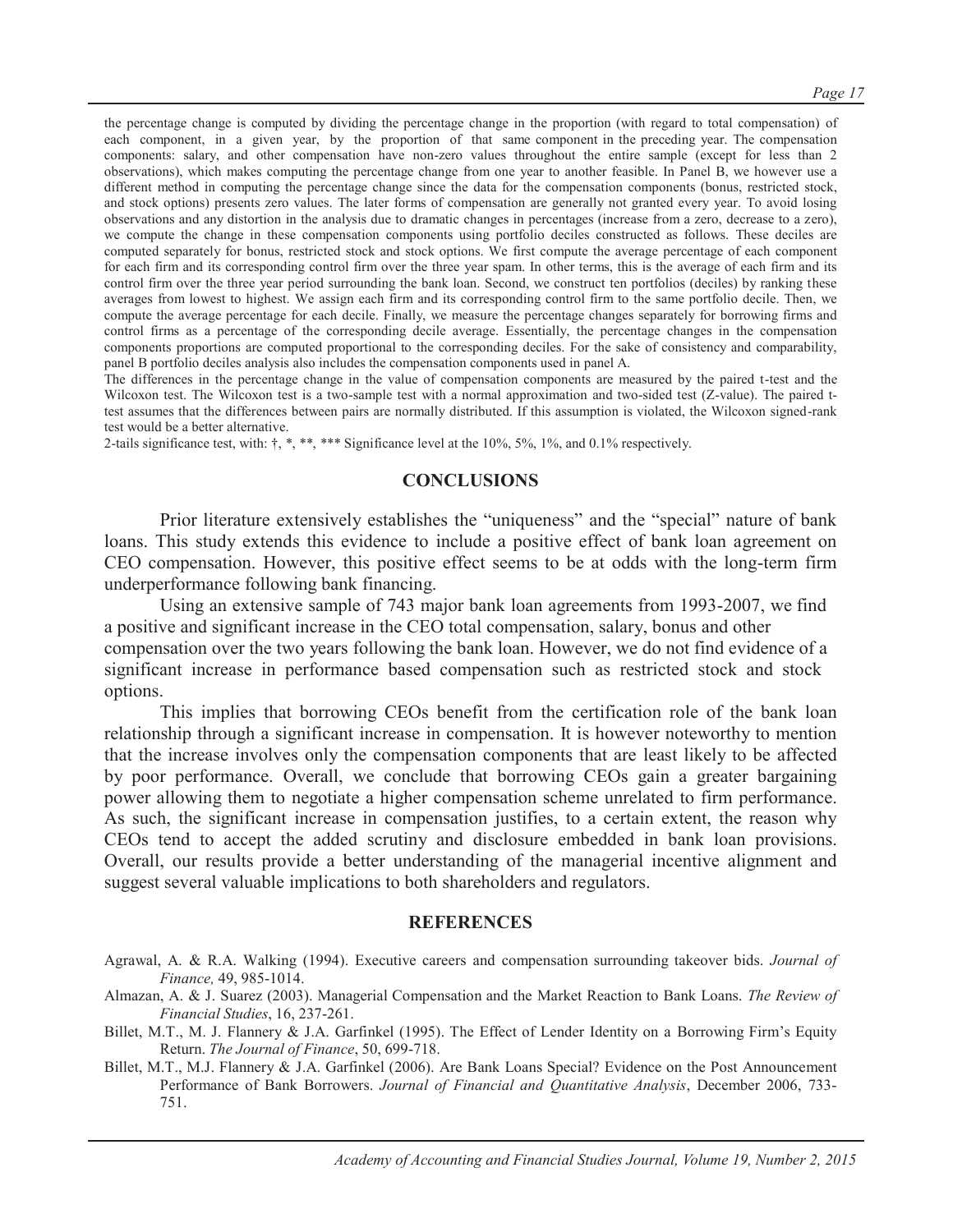the percentage change is computed by dividing the percentage change in the proportion (with regard to total compensation) of each component, in a given year, by the proportion of that same component in the preceding year. The compensation components: salary, and other compensation have non-zero values throughout the entire sample (except for less than 2 observations), which makes computing the percentage change from one year to another feasible. In Panel B, we however use a different method in computing the percentage change since the data for the compensation components (bonus, restricted stock, and stock options) presents zero values. The later forms of compensation are generally not granted every year. To avoid losing observations and any distortion in the analysis due to dramatic changes in percentages (increase from a zero, decrease to a zero), we compute the change in these compensation components using portfolio deciles constructed as follows. These deciles are computed separately for bonus, restricted stock and stock options. We first compute the average percentage of each component for each firm and its corresponding control firm over the three year spam. In other terms, this is the average of each firm and its control firm over the three year period surrounding the bank loan. Second, we construct ten portfolios (deciles) by ranking these averages from lowest to highest. We assign each firm and its corresponding control firm to the same portfolio decile. Then, we compute the average percentage for each decile. Finally, we measure the percentage changes separately for borrowing firms and control firms as a percentage of the corresponding decile average. Essentially, the percentage changes in the compensation components proportions are computed proportional to the corresponding deciles. For the sake of consistency and comparability, panel B portfolio deciles analysis also includes the compensation components used in panel A.

The differences in the percentage change in the value of compensation components are measured by the paired t-test and the Wilcoxon test. The Wilcoxon test is a two-sample test with a normal approximation and two-sided test (Z-value). The paired ttest assumes that the differences between pairs are normally distributed. If this assumption is violated, the Wilcoxon signed-rank test would be a better alternative.

2-tails significance test, with:  $\dagger$ , \*, \*\*, \*\*\* Significance level at the 10%, 5%, 1%, and 0.1% respectively.

#### **CONCLUSIONS**

Prior literature extensively establishes the "uniqueness" and the "special" nature of bank loans. This study extends this evidence to include a positive effect of bank loan agreement on CEO compensation. However, this positive effect seems to be at odds with the long-term firm underperformance following bank financing.

Using an extensive sample of 743 major bank loan agreements from 1993-2007, we find a positive and significant increase in the CEO total compensation, salary, bonus and other compensation over the two years following the bank loan. However, we do not find evidence of a significant increase in performance based compensation such as restricted stock and stock options.

This implies that borrowing CEOs benefit from the certification role of the bank loan relationship through a significant increase in compensation. It is however noteworthy to mention that the increase involves only the compensation components that are least likely to be affected by poor performance. Overall, we conclude that borrowing CEOs gain a greater bargaining power allowing them to negotiate a higher compensation scheme unrelated to firm performance. As such, the significant increase in compensation justifies, to a certain extent, the reason why CEOs tend to accept the added scrutiny and disclosure embedded in bank loan provisions. Overall, our results provide a better understanding of the managerial incentive alignment and suggest several valuable implications to both shareholders and regulators.

#### **REFERENCES**

- Agrawal, A. & R.A. Walking (1994). Executive careers and compensation surrounding takeover bids. *Journal of Finance,* 49, 985-1014.
- Almazan, A. & J. Suarez (2003). Managerial Compensation and the Market Reaction to Bank Loans. *The Review of Financial Studies*, 16, 237-261.
- Billet, M.T., M. J. Flannery & J.A. Garfinkel (1995). The Effect of Lender Identity on a Borrowing Firm's Equity Return. *The Journal of Finance*, 50, 699-718.
- Billet, M.T., M.J. Flannery & J.A. Garfinkel (2006). Are Bank Loans Special? Evidence on the Post Announcement Performance of Bank Borrowers. *Journal of Financial and Quantitative Analysis*, December 2006, 733- 751.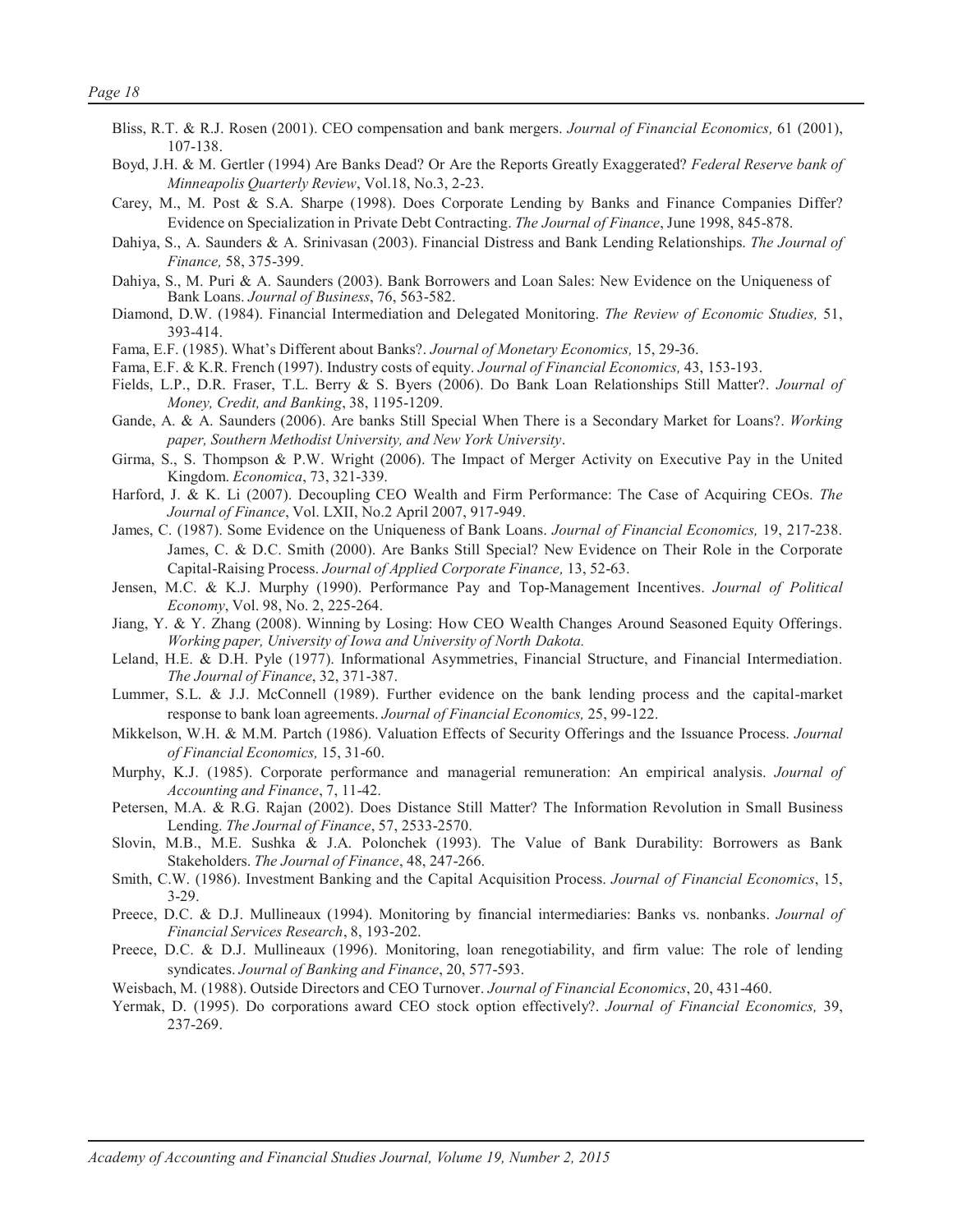- Bliss, R.T. & R.J. Rosen (2001). CEO compensation and bank mergers. *Journal of Financial Economics,* 61 (2001), 107-138.
- Boyd, J.H. & M. Gertler (1994) Are Banks Dead? Or Are the Reports Greatly Exaggerated? *Federal Reserve bank of Minneapolis Quarterly Review*, Vol.18, No.3, 2-23.
- Carey, M., M. Post & S.A. Sharpe (1998). Does Corporate Lending by Banks and Finance Companies Differ? Evidence on Specialization in Private Debt Contracting. *The Journal of Finance*, June 1998, 845-878.
- Dahiya, S., A. Saunders & A. Srinivasan (2003). Financial Distress and Bank Lending Relationships. *The Journal of Finance,* 58, 375-399.
- Dahiya, S., M. Puri & A. Saunders (2003). Bank Borrowers and Loan Sales: New Evidence on the Uniqueness of Bank Loans. *Journal of Business*, 76, 563-582.
- Diamond, D.W. (1984). Financial Intermediation and Delegated Monitoring. *The Review of Economic Studies,* 51, 393-414.
- Fama, E.F. (1985). What's Different about Banks?. *Journal of Monetary Economics,* 15, 29-36.
- Fama, E.F. & K.R. French (1997). Industry costs of equity. *Journal of Financial Economics,* 43, 153-193.
- Fields, L.P., D.R. Fraser, T.L. Berry & S. Byers (2006). Do Bank Loan Relationships Still Matter?. *Journal of Money, Credit, and Banking*, 38, 1195-1209.
- Gande, A. & A. Saunders (2006). Are banks Still Special When There is a Secondary Market for Loans?. *Working paper, Southern Methodist University, and New York University*.
- Girma, S., S. Thompson & P.W. Wright (2006). The Impact of Merger Activity on Executive Pay in the United Kingdom. *Economica*, 73, 321-339.
- Harford, J. & K. Li (2007). Decoupling CEO Wealth and Firm Performance: The Case of Acquiring CEOs. *The Journal of Finance*, Vol. LXII, No.2 April 2007, 917-949.
- James, C. (1987). Some Evidence on the Uniqueness of Bank Loans. *Journal of Financial Economics,* 19, 217-238. James, C. & D.C. Smith (2000). Are Banks Still Special? New Evidence on Their Role in the Corporate Capital-Raising Process. *Journal of Applied Corporate Finance,* 13, 52-63.
- Jensen, M.C. & K.J. Murphy (1990). Performance Pay and Top-Management Incentives. *Journal of Political Economy*, Vol. 98, No. 2, 225-264.
- Jiang, Y. & Y. Zhang (2008). Winning by Losing: How CEO Wealth Changes Around Seasoned Equity Offerings. *Working paper, University of Iowa and University of North Dakota.*
- Leland, H.E. & D.H. Pyle (1977). Informational Asymmetries, Financial Structure, and Financial Intermediation. *The Journal of Finance*, 32, 371-387.
- Lummer, S.L. & J.J. McConnell (1989). Further evidence on the bank lending process and the capital-market response to bank loan agreements. *Journal of Financial Economics,* 25, 99-122.
- Mikkelson, W.H. & M.M. Partch (1986). Valuation Effects of Security Offerings and the Issuance Process. *Journal of Financial Economics,* 15, 31-60.
- Murphy, K.J. (1985). Corporate performance and managerial remuneration: An empirical analysis. *Journal of Accounting and Finance*, 7, 11-42.
- Petersen, M.A. & R.G. Rajan (2002). Does Distance Still Matter? The Information Revolution in Small Business Lending. *The Journal of Finance*, 57, 2533-2570.
- Slovin, M.B., M.E. Sushka & J.A. Polonchek (1993). The Value of Bank Durability: Borrowers as Bank Stakeholders. *The Journal of Finance*, 48, 247-266.
- Smith, C.W. (1986). Investment Banking and the Capital Acquisition Process. *Journal of Financial Economics*, 15, 3-29.
- Preece, D.C. & D.J. Mullineaux (1994). Monitoring by financial intermediaries: Banks vs. nonbanks. *Journal of Financial Services Research*, 8, 193-202.
- Preece, D.C. & D.J. Mullineaux (1996). Monitoring, loan renegotiability, and firm value: The role of lending syndicates. *Journal of Banking and Finance*, 20, 577-593.
- Weisbach, M. (1988). Outside Directors and CEO Turnover. *Journal of Financial Economics*, 20, 431-460.
- Yermak, D. (1995). Do corporations award CEO stock option effectively?. *Journal of Financial Economics,* 39, 237-269.